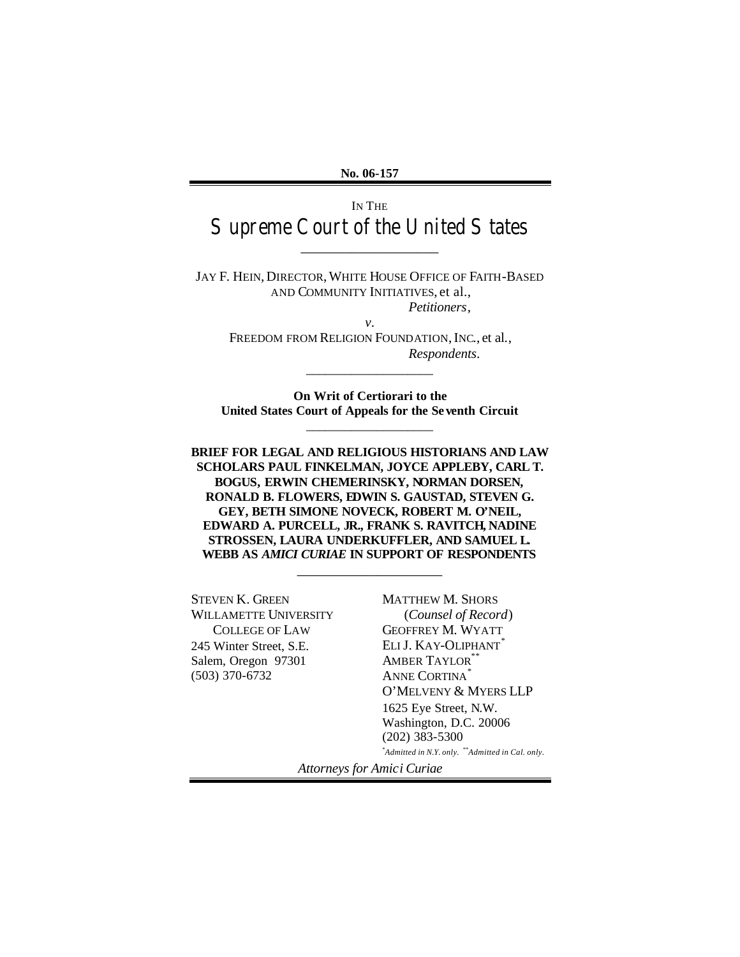**No. 06-157**

# IN THE Supreme Court of the United States

\_\_\_\_\_\_\_\_\_\_\_\_\_\_\_\_\_\_\_

JAY F. HEIN, DIRECTOR,WHITE HOUSE OFFICE OF FAITH-BASED AND COMMUNITY INITIATIVES, et al., *Petitioners*,

*v.* FREEDOM FROM RELIGION FOUNDATION, INC., et al., *Respondents*.

\_\_\_\_\_\_\_\_\_\_\_\_\_\_\_\_\_\_\_\_

**On Writ of Certiorari to the United States Court of Appeals for the Se venth Circuit** \_\_\_\_\_\_\_\_\_\_\_\_\_\_\_\_\_\_\_\_

**BRIEF FOR LEGAL AND RELIGIOUS HISTORIANS AND LAW SCHOLARS PAUL FINKELMAN, JOYCE APPLEBY, CARL T. BOGUS, ERWIN CHEMERINSKY, NORMAN DORSEN, RONALD B. FLOWERS, EDWIN S. GAUSTAD, STEVEN G. GEY, BETH SIMONE NOVECK, ROBERT M. O'NEIL, EDWARD A. PURCELL, JR., FRANK S. RAVITCH, NADINE STROSSEN, LAURA UNDERKUFFLER, AND SAMUEL L. WEBB AS** *AMICI CURIAE* **IN SUPPORT OF RESPONDENTS**

\_\_\_\_\_\_\_\_\_\_\_\_\_\_\_\_\_\_\_\_

STEVEN K. GREEN WILLAMETTE UNIVERSITY COLLEGE OF LAW 245 Winter Street, S.E. Salem, Oregon 97301 (503) 370-6732

MATTHEW M. SHORS (*Counsel of Record*) GEOFFREY M. WYATT ELI J. KAY-OLIPHANT<sup>\*</sup> AMBER TAYLOR<sup>\*\*</sup> ANNE CORTINA<sup>\*</sup> O'MELVENY & MYERS LLP 1625 Eye Street, N.W. Washington, D.C. 20006 (202) 383-5300

\**Admitted in N.Y. only.* \*\**Admitted in Cal. only.*

*Attorneys for Amici Curiae*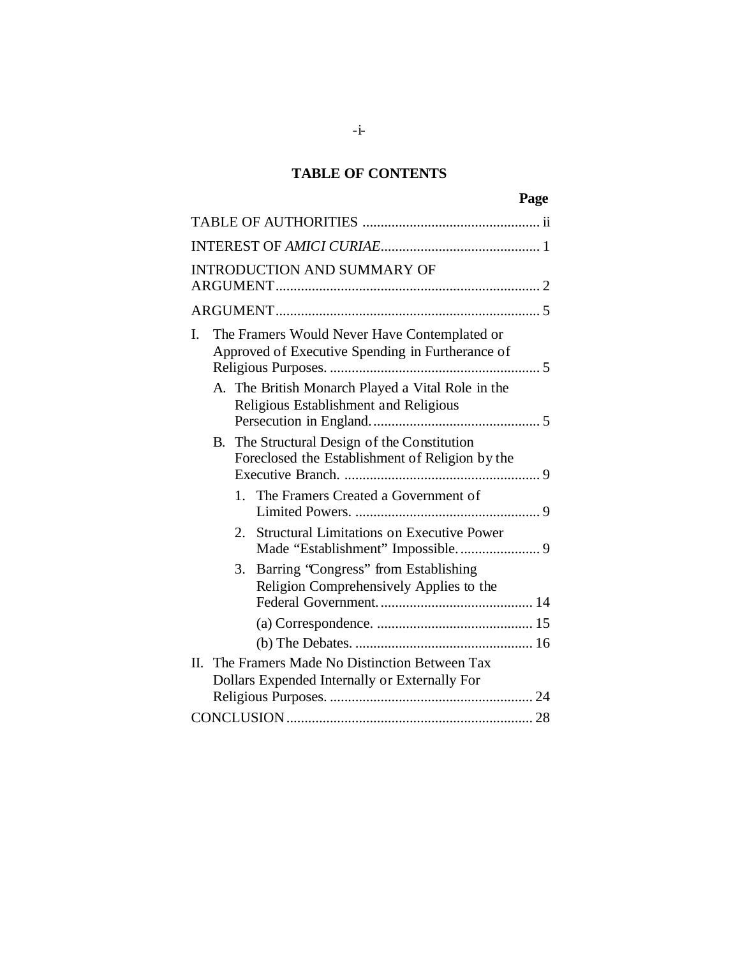## **TABLE OF CONTENTS**

|    |    |                                                                                                  | Page |
|----|----|--------------------------------------------------------------------------------------------------|------|
|    |    |                                                                                                  |      |
|    |    |                                                                                                  |      |
|    |    | <b>INTRODUCTION AND SUMMARY OF</b>                                                               |      |
|    |    |                                                                                                  |      |
| I. |    | The Framers Would Never Have Contemplated or<br>Approved of Executive Spending in Furtherance of |      |
|    |    | A. The British Monarch Played a Vital Role in the<br>Religious Establishment and Religious       |      |
|    |    | B. The Structural Design of the Constitution<br>Foreclosed the Establishment of Religion by the  |      |
|    |    | 1. The Framers Created a Government of                                                           |      |
|    | 2. | <b>Structural Limitations on Executive Power</b><br>Made "Establishment" Impossible 9            |      |
|    | 3. | Barring 'Congress' from Establishing<br>Religion Comprehensively Applies to the                  |      |
|    |    |                                                                                                  |      |
|    |    | II. The Framers Made No Distinction Between Tax<br>Dollars Expended Internally or Externally For |      |
|    |    |                                                                                                  |      |
|    |    |                                                                                                  |      |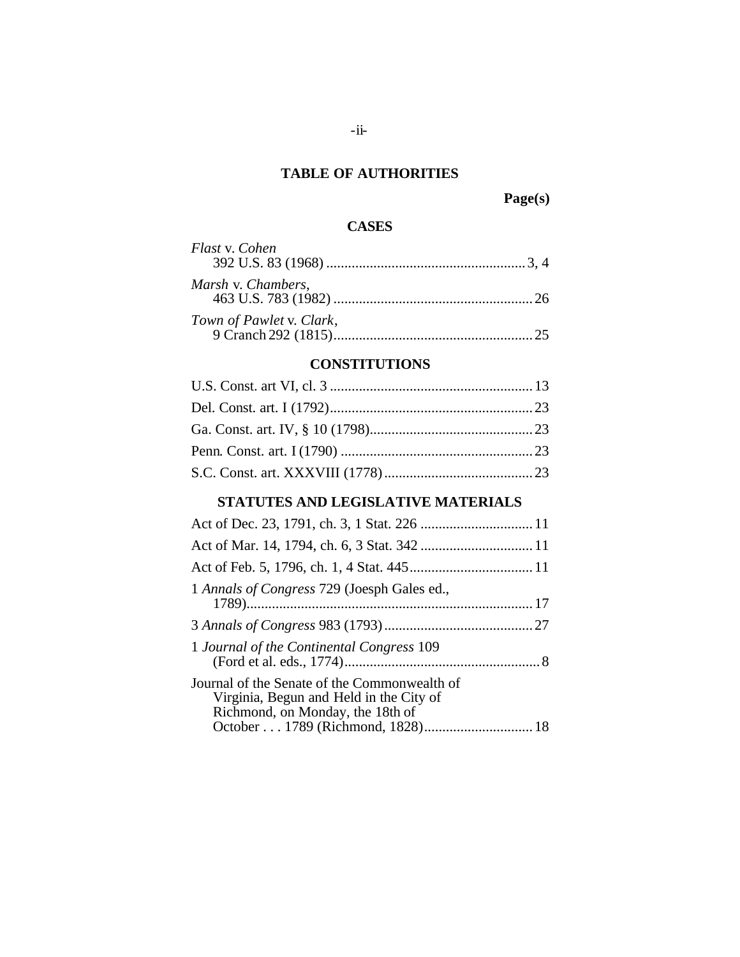### **TABLE OF AUTHORITIES**

### **Page(s)**

### **CASES**

| Flast v. Cohen           |
|--------------------------|
|                          |
| Marsh v. Chambers,       |
| Town of Pawlet v. Clark, |

### **CONSTITUTIONS**

## **STATUTES AND LEGISLATIVE MATERIALS**

| 1 Annals of Congress 729 (Joesph Gales ed.,                                                                                 |
|-----------------------------------------------------------------------------------------------------------------------------|
|                                                                                                                             |
| 1 Journal of the Continental Congress 109                                                                                   |
| Journal of the Senate of the Commonwealth of<br>Virginia, Begun and Held in the City of<br>Richmond, on Monday, the 18th of |
|                                                                                                                             |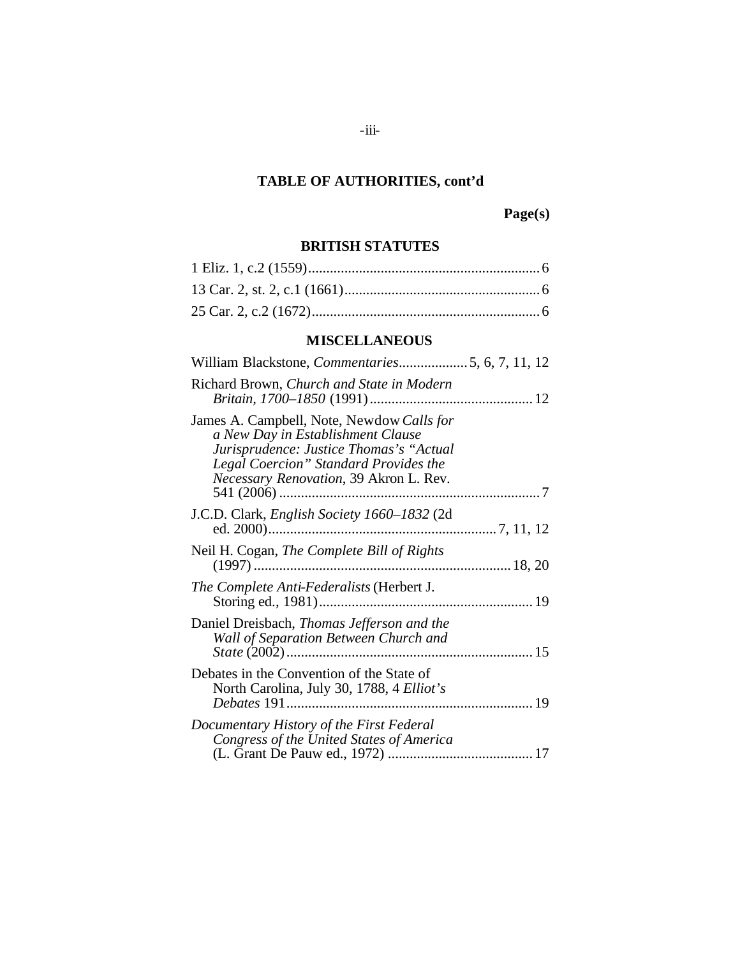## **Page(s)**

### **BRITISH STATUTES**

### **MISCELLANEOUS**

| William Blackstone, <i>Commentaries</i> 5, 6, 7, 11, 12                                                                                                                                                      |  |
|--------------------------------------------------------------------------------------------------------------------------------------------------------------------------------------------------------------|--|
| Richard Brown, Church and State in Modern                                                                                                                                                                    |  |
| James A. Campbell, Note, Newdow Calls for<br>a New Day in Establishment Clause<br>Jurisprudence: Justice Thomas's "Actual<br>Legal Coercion" Standard Provides the<br>Necessary Renovation, 39 Akron L. Rev. |  |
| J.C.D. Clark, <i>English Society 1660–1832</i> (2d)                                                                                                                                                          |  |
| Neil H. Cogan, The Complete Bill of Rights                                                                                                                                                                   |  |
| The Complete Anti-Federalists (Herbert J.                                                                                                                                                                    |  |
| Daniel Dreisbach, Thomas Jefferson and the<br>Wall of Separation Between Church and                                                                                                                          |  |
| Debates in the Convention of the State of<br>North Carolina, July 30, 1788, 4 Elliot's                                                                                                                       |  |
| Documentary History of the First Federal<br>Congress of the United States of America                                                                                                                         |  |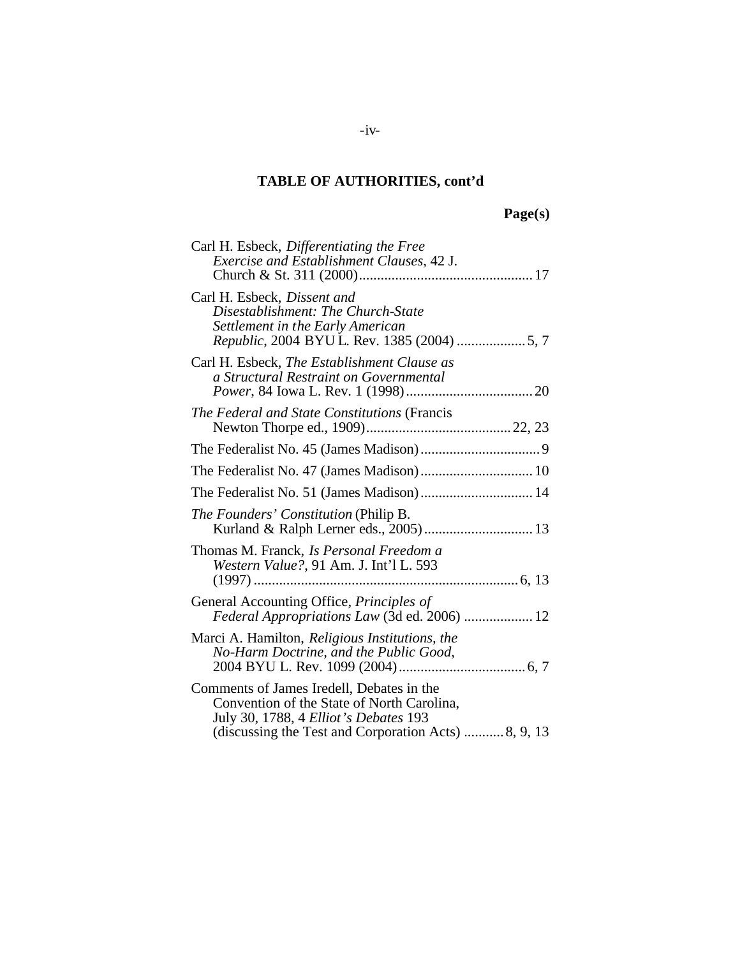## **Page(s)**

| Carl H. Esbeck, Differentiating the Free<br>Exercise and Establishment Clauses, 42 J.                                                                                                   |
|-----------------------------------------------------------------------------------------------------------------------------------------------------------------------------------------|
| Carl H. Esbeck, Dissent and<br>Disestablishment: The Church-State<br>Settlement in the Early American                                                                                   |
| Carl H. Esbeck, <i>The Establishment Clause as</i><br>a Structural Restraint on Governmental                                                                                            |
| The Federal and State Constitutions (Francis                                                                                                                                            |
|                                                                                                                                                                                         |
|                                                                                                                                                                                         |
| The Federalist No. 51 (James Madison) 14                                                                                                                                                |
| <i>The Founders' Constitution</i> (Philip B.<br>Kurland & Ralph Lerner eds., 2005)  13                                                                                                  |
| Thomas M. Franck, Is Personal Freedom a<br>Western Value?, 91 Am. J. Int'l L. 593                                                                                                       |
| General Accounting Office, Principles of<br>Federal Appropriations Law (3d ed. 2006)  12                                                                                                |
| Marci A. Hamilton, Religious Institutions, the<br>No-Harm Doctrine, and the Public Good,                                                                                                |
| Comments of James Iredell, Debates in the<br>Convention of the State of North Carolina,<br>July 30, 1788, 4 Elliot's Debates 193<br>(discussing the Test and Corporation Acts) 8, 9, 13 |

### $-iv-$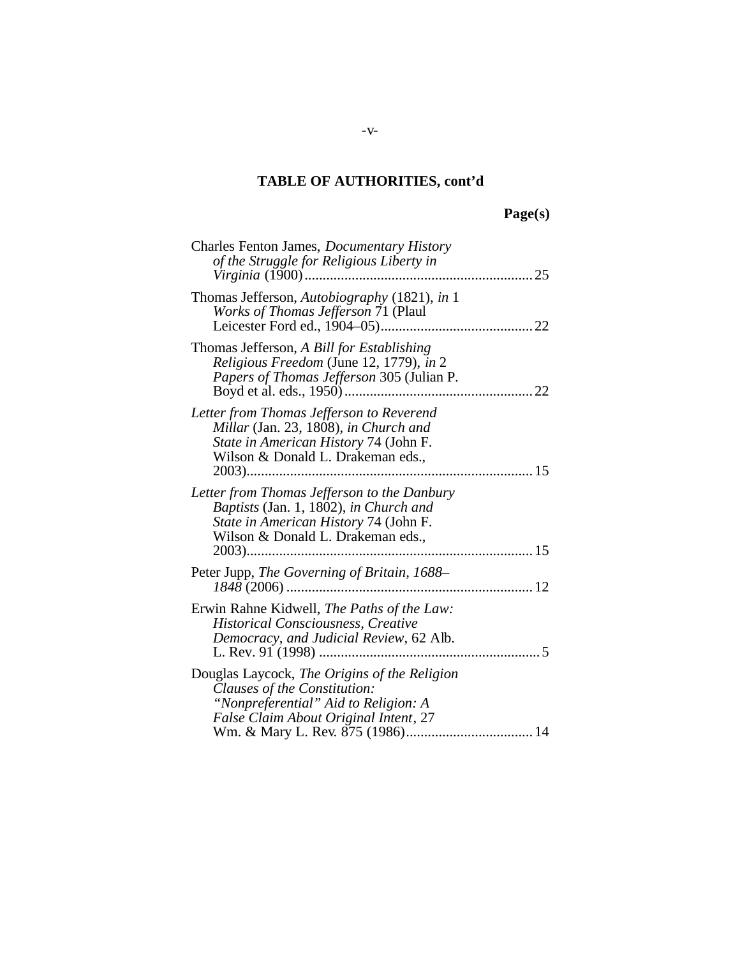# **Page(s)**

| Charles Fenton James, <i>Documentary History</i><br>of the Struggle for Religious Liberty in<br>25                                                                  |
|---------------------------------------------------------------------------------------------------------------------------------------------------------------------|
| Thomas Jefferson, Autobiography (1821), in 1<br>Works of Thomas Jefferson 71 (Plaul                                                                                 |
| Thomas Jefferson, A Bill for Establishing<br>Religious Freedom (June 12, 1779), in 2<br>Papers of Thomas Jefferson 305 (Julian P.<br>22                             |
| Letter from Thomas Jefferson to Reverend<br>Millar (Jan. 23, 1808), in Church and<br>State in American History 74 (John F.<br>Wilson & Donald L. Drakeman eds.,     |
| Letter from Thomas Jefferson to the Danbury<br>Baptists (Jan. 1, 1802), in Church and<br>State in American History 74 (John F.<br>Wilson & Donald L. Drakeman eds., |
| Peter Jupp, The Governing of Britain, 1688-                                                                                                                         |
| Erwin Rahne Kidwell, The Paths of the Law:<br><b>Historical Consciousness, Creative</b><br>Democracy, and Judicial Review, 62 Alb.<br>5                             |
| Douglas Laycock, The Origins of the Religion<br>Clauses of the Constitution:<br>"Nonpreferential" Aid to Religion: A<br>False Claim About Original Intent, 27       |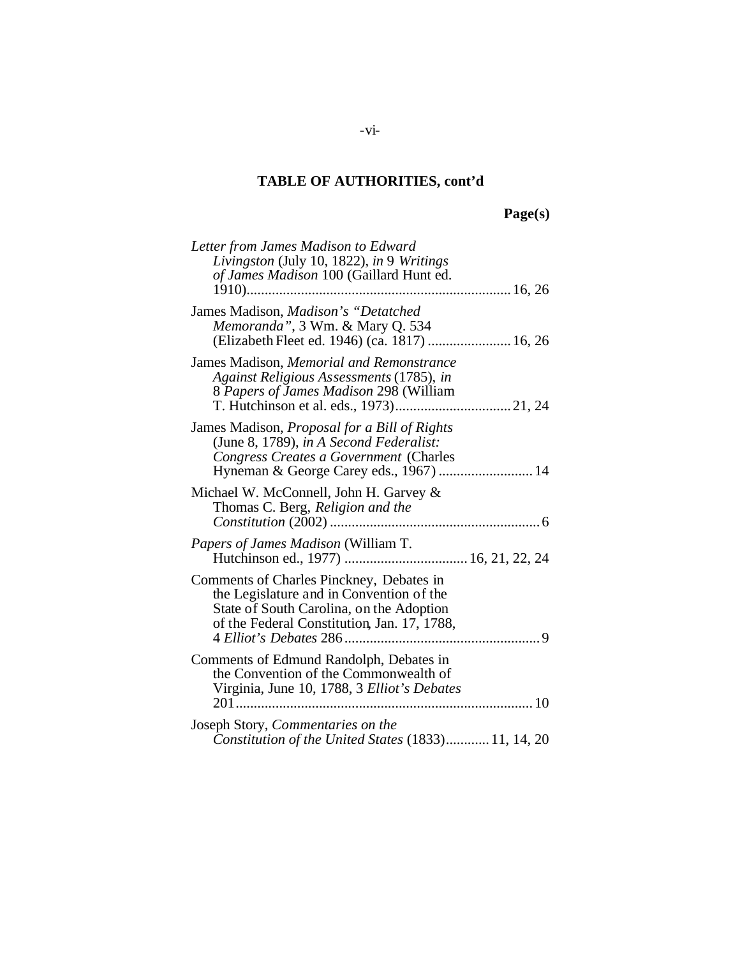# **Page(s)**

| Letter from James Madison to Edward<br>Livingston (July 10, 1822), in 9 Writings<br>of James Madison 100 (Gaillard Hunt ed.                                                     |
|---------------------------------------------------------------------------------------------------------------------------------------------------------------------------------|
| James Madison, Madison's "Detatched<br>Memoranda", 3 Wm. & Mary Q. 534<br>(Elizabeth Fleet ed. 1946) (ca. 1817)  16, 26                                                         |
| James Madison, Memorial and Remonstrance<br>Against Religious Assessments (1785), in<br>8 Papers of James Madison 298 (William                                                  |
| James Madison, Proposal for a Bill of Rights<br>(June 8, 1789), in A Second Federalist:<br>Congress Creates a Government (Charles<br>Hyneman & George Carey eds., 1967)  14     |
| Michael W. McConnell, John H. Garvey &<br>Thomas C. Berg, Religion and the                                                                                                      |
| <i>Papers of James Madison</i> (William T.                                                                                                                                      |
| Comments of Charles Pinckney, Debates in<br>the Legislature and in Convention of the<br>State of South Carolina, on the Adoption<br>of the Federal Constitution, Jan. 17, 1788, |
| Comments of Edmund Randolph, Debates in<br>the Convention of the Commonwealth of<br>Virginia, June 10, 1788, 3 Elliot's Debates                                                 |
| Joseph Story, Commentaries on the<br>Constitution of the United States (1833) 11, 14, 20                                                                                        |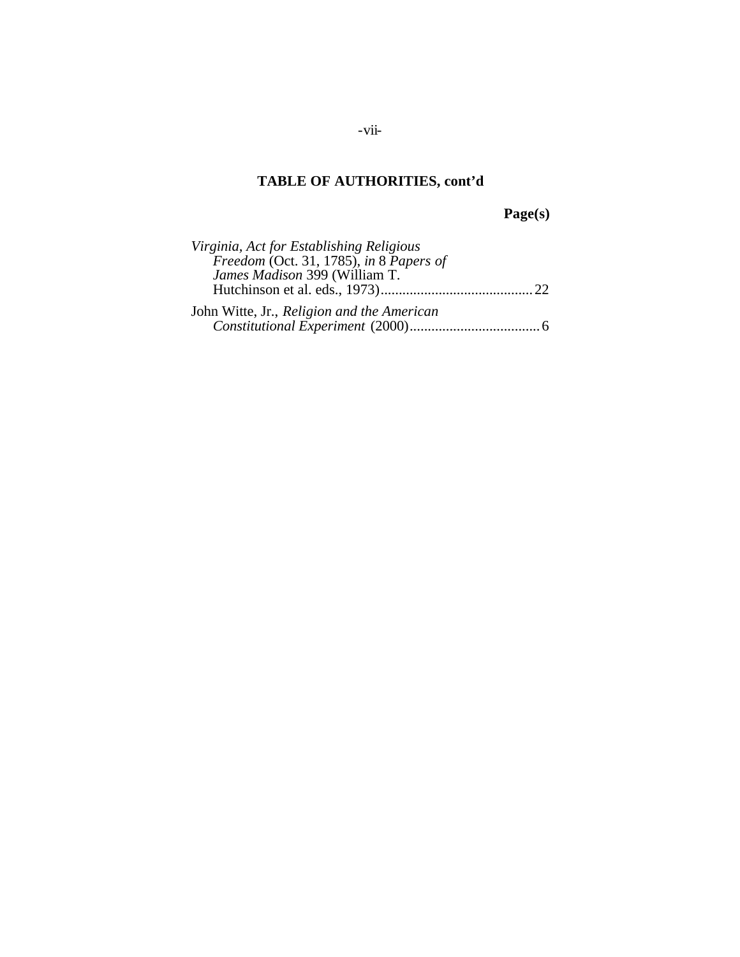**Page(s)**

| Virginia, Act for Establishing Religious   |  |
|--------------------------------------------|--|
| Freedom (Oct. 31, 1785), in 8 Papers of    |  |
| James Madison 399 (William T.              |  |
|                                            |  |
| John Witte, Jr., Religion and the American |  |
|                                            |  |

-vii-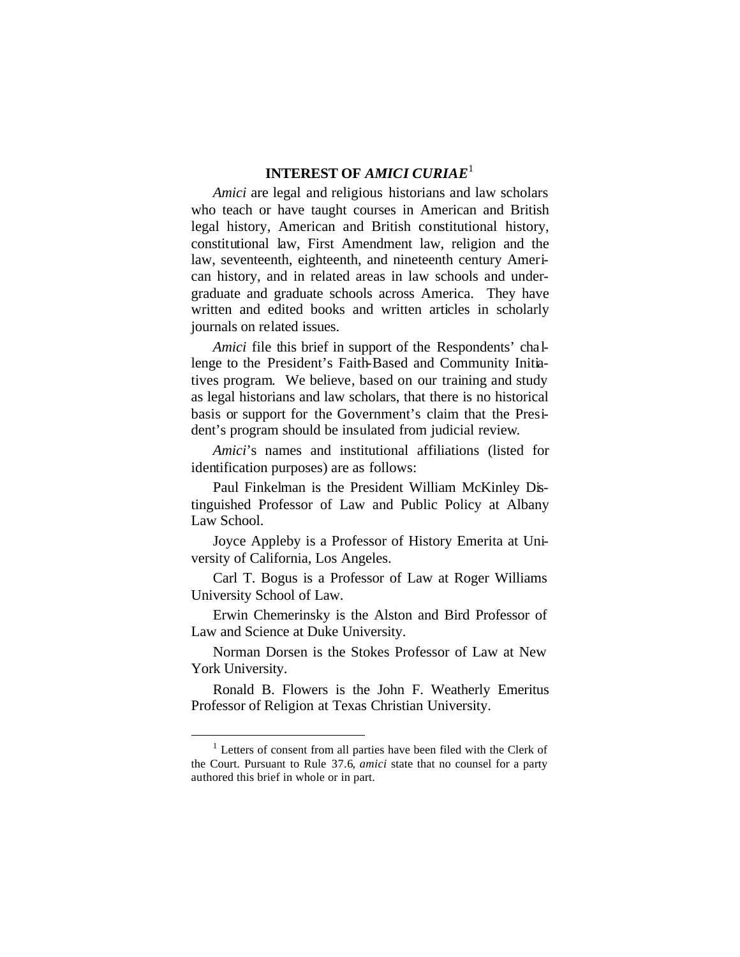### **INTEREST OF** *AMICI CURIAE*<sup>1</sup>

*Amici* are legal and religious historians and law scholars who teach or have taught courses in American and British legal history, American and British constitutional history, constitutional law, First Amendment law, religion and the law, seventeenth, eighteenth, and nineteenth century American history, and in related areas in law schools and undergraduate and graduate schools across America. They have written and edited books and written articles in scholarly journals on related issues.

*Amici* file this brief in support of the Respondents' challenge to the President's Faith-Based and Community Initiatives program. We believe, based on our training and study as legal historians and law scholars, that there is no historical basis or support for the Government's claim that the President's program should be insulated from judicial review.

*Amici*'s names and institutional affiliations (listed for identification purposes) are as follows:

Paul Finkelman is the President William McKinley Distinguished Professor of Law and Public Policy at Albany Law School.

Joyce Appleby is a Professor of History Emerita at University of California, Los Angeles.

Carl T. Bogus is a Professor of Law at Roger Williams University School of Law.

Erwin Chemerinsky is the Alston and Bird Professor of Law and Science at Duke University.

Norman Dorsen is the Stokes Professor of Law at New York University.

Ronald B. Flowers is the John F. Weatherly Emeritus Professor of Religion at Texas Christian University.

<sup>&</sup>lt;sup>1</sup> Letters of consent from all parties have been filed with the Clerk of the Court. Pursuant to Rule 37.6, *amici* state that no counsel for a party authored this brief in whole or in part.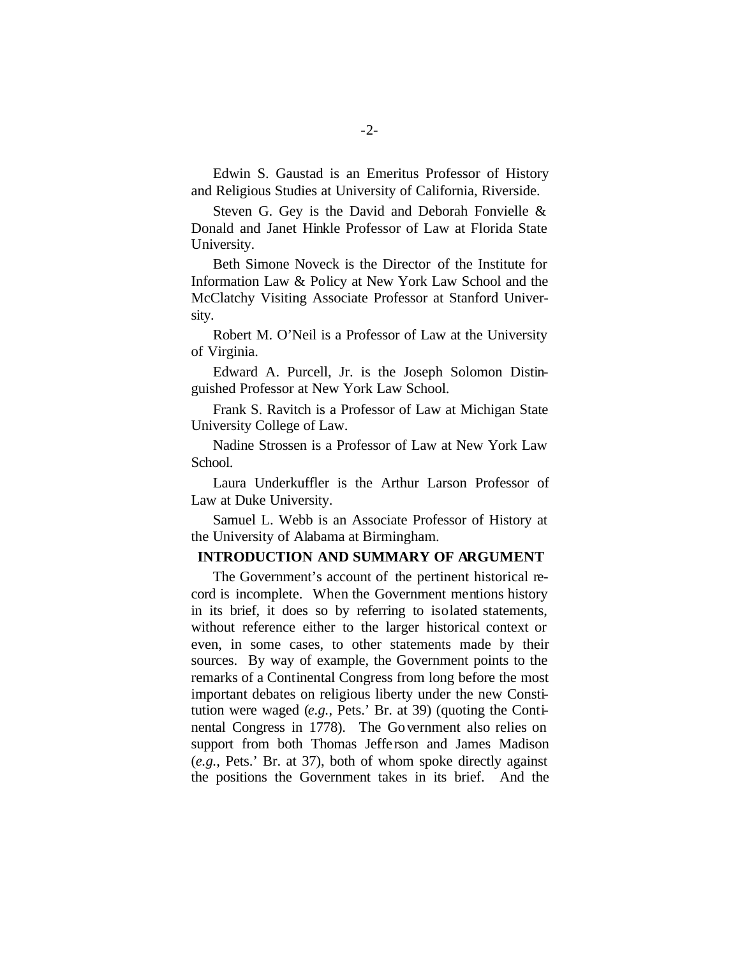Edwin S. Gaustad is an Emeritus Professor of History and Religious Studies at University of California, Riverside.

Steven G. Gey is the David and Deborah Fonvielle & Donald and Janet Hinkle Professor of Law at Florida State University.

Beth Simone Noveck is the Director of the Institute for Information Law & Policy at New York Law School and the McClatchy Visiting Associate Professor at Stanford University.

Robert M. O'Neil is a Professor of Law at the University of Virginia.

Edward A. Purcell, Jr. is the Joseph Solomon Distinguished Professor at New York Law School.

Frank S. Ravitch is a Professor of Law at Michigan State University College of Law.

Nadine Strossen is a Professor of Law at New York Law School.

Laura Underkuffler is the Arthur Larson Professor of Law at Duke University.

Samuel L. Webb is an Associate Professor of History at the University of Alabama at Birmingham.

#### **INTRODUCTION AND SUMMARY OF ARGUMENT**

The Government's account of the pertinent historical record is incomplete. When the Government mentions history in its brief, it does so by referring to isolated statements, without reference either to the larger historical context or even, in some cases, to other statements made by their sources.By way of example, the Government points to the remarks of a Continental Congress from long before the most important debates on religious liberty under the new Constitution were waged (*e.g.*, Pets.' Br. at 39) (quoting the Continental Congress in 1778). The Government also relies on support from both Thomas Jeffe rson and James Madison (*e.g.*, Pets.' Br. at 37), both of whom spoke directly against the positions the Government takes in its brief. And the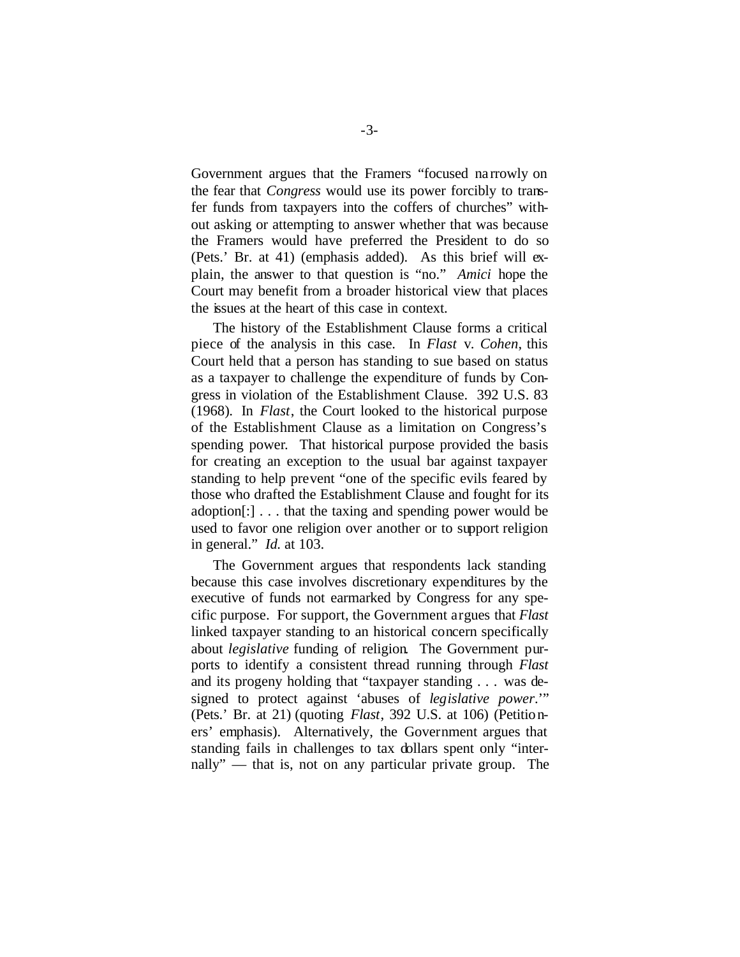Government argues that the Framers "focused na rrowly on the fear that *Congress* would use its power forcibly to transfer funds from taxpayers into the coffers of churches" without asking or attempting to answer whether that was because the Framers would have preferred the President to do so (Pets.' Br. at 41) (emphasis added). As this brief will explain, the answer to that question is "no." *Amici* hope the Court may benefit from a broader historical view that places the issues at the heart of this case in context.

The history of the Establishment Clause forms a critical piece of the analysis in this case. In *Flast* v. *Cohen*, this Court held that a person has standing to sue based on status as a taxpayer to challenge the expenditure of funds by Congress in violation of the Establishment Clause. 392 U.S. 83 (1968). In *Flast*, the Court looked to the historical purpose of the Establishment Clause as a limitation on Congress's spending power. That historical purpose provided the basis for creating an exception to the usual bar against taxpayer standing to help prevent "one of the specific evils feared by those who drafted the Establishment Clause and fought for its adoption[:] . . . that the taxing and spending power would be used to favor one religion over another or to support religion in general." *Id.* at 103.

The Government argues that respondents lack standing because this case involves discretionary expenditures by the executive of funds not earmarked by Congress for any specific purpose. For support, the Government argues that *Flast* linked taxpayer standing to an historical concern specifically about *legislative* funding of religion. The Government purports to identify a consistent thread running through *Flast* and its progeny holding that "taxpayer standing . . . was designed to protect against 'abuses of *legislative power*.'" (Pets.' Br. at 21) (quoting *Flast*, 392 U.S. at 106) (Petitioners' emphasis). Alternatively, the Government argues that standing fails in challenges to tax dollars spent only "internally" — that is, not on any particular private group. The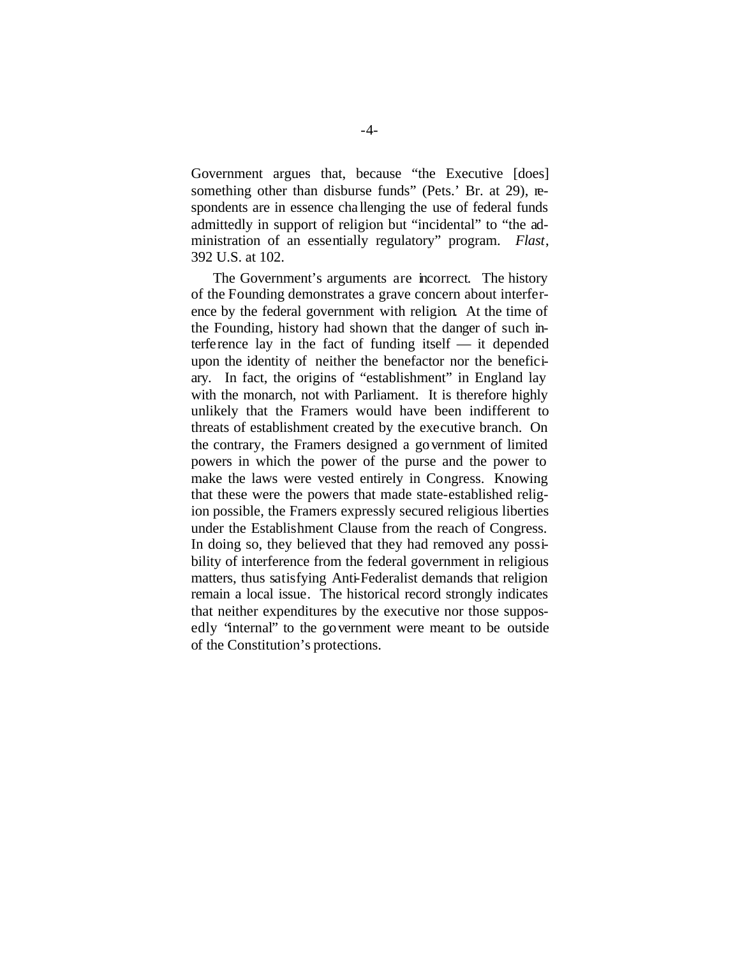Government argues that, because "the Executive [does] something other than disburse funds" (Pets.' Br. at 29), respondents are in essence cha llenging the use of federal funds admittedly in support of religion but "incidental" to "the administration of an essentially regulatory" program. *Flast*, 392 U.S. at 102.

The Government's arguments are incorrect. The history of the Founding demonstrates a grave concern about interference by the federal government with religion. At the time of the Founding, history had shown that the danger of such interference lay in the fact of funding itself — it depended upon the identity of neither the benefactor nor the beneficiary. In fact, the origins of "establishment" in England lay with the monarch, not with Parliament. It is therefore highly unlikely that the Framers would have been indifferent to threats of establishment created by the executive branch. On the contrary, the Framers designed a government of limited powers in which the power of the purse and the power to make the laws were vested entirely in Congress. Knowing that these were the powers that made state-established religion possible, the Framers expressly secured religious liberties under the Establishment Clause from the reach of Congress. In doing so, they believed that they had removed any possibility of interference from the federal government in religious matters, thus satisfying Anti-Federalist demands that religion remain a local issue. The historical record strongly indicates that neither expenditures by the executive nor those supposedly "internal" to the government were meant to be outside of the Constitution's protections.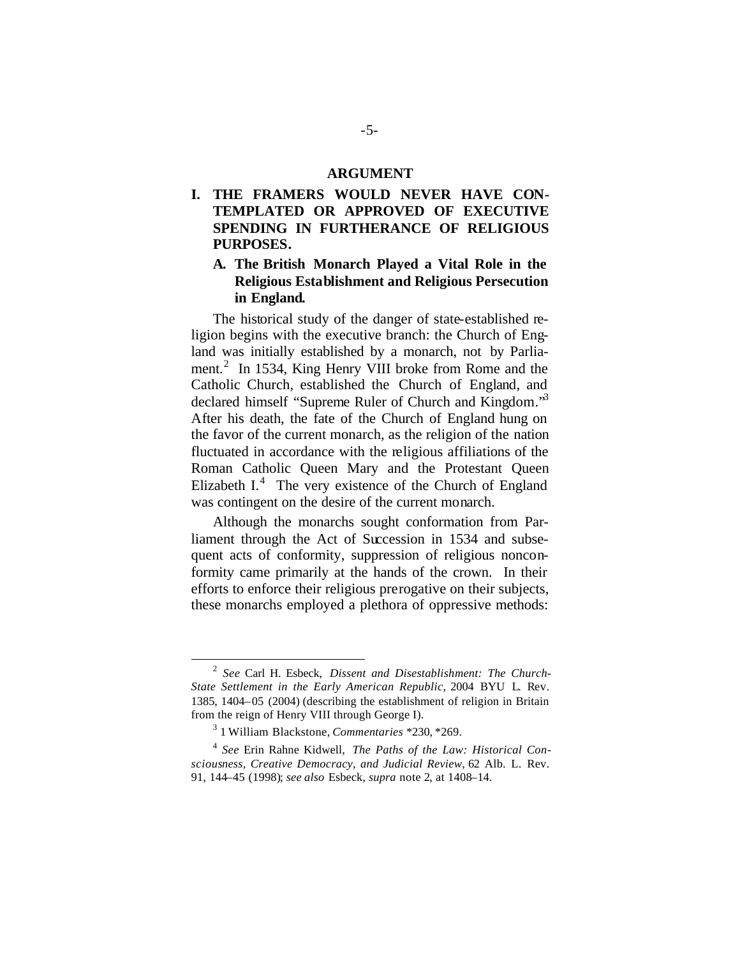#### **ARGUMENT**

### **I. THE FRAMERS WOULD NEVER HAVE CON-TEMPLATED OR APPROVED OF EXECUTIVE SPENDING IN FURTHERANCE OF RELIGIOUS PURPOSES.**

#### **A. The British Monarch Played a Vital Role in the Religious Establishment and Religious Persecution in England.**

The historical study of the danger of state-established religion begins with the executive branch: the Church of England was initially established by a monarch, not by Parliament.<sup>2</sup> In 1534, King Henry VIII broke from Rome and the Catholic Church, established the Church of England, and declared himself "Supreme Ruler of Church and Kingdom."<sup>3</sup> After his death, the fate of the Church of England hung on the favor of the current monarch, as the religion of the nation fluctuated in accordance with the religious affiliations of the Roman Catholic Queen Mary and the Protestant Queen Elizabeth  $I^4$  The very existence of the Church of England was contingent on the desire of the current monarch.

Although the monarchs sought conformation from Parliament through the Act of Succession in 1534 and subsequent acts of conformity, suppression of religious nonconformity came primarily at the hands of the crown. In their efforts to enforce their religious prerogative on their subjects, these monarchs employed a plethora of oppressive methods:

<sup>2</sup> *See* Carl H. Esbeck, *Dissent and Disestablishment: The Church-State Settlement in the Early American Republic*, 2004 BYU L. Rev. 1385, 1404–05 (2004) (describing the establishment of religion in Britain from the reign of Henry VIII through George I).

<sup>3</sup> 1 William Blackstone, *Commentaries* \*230, \*269.

<sup>4</sup> *See* Erin Rahne Kidwell, *The Paths of the Law: Historical Consciousness, Creative Democracy, and Judicial Review*, 62 Alb. L. Rev. 91, 144–45 (1998); *see also* Esbeck, *supra* note 2, at 1408–14.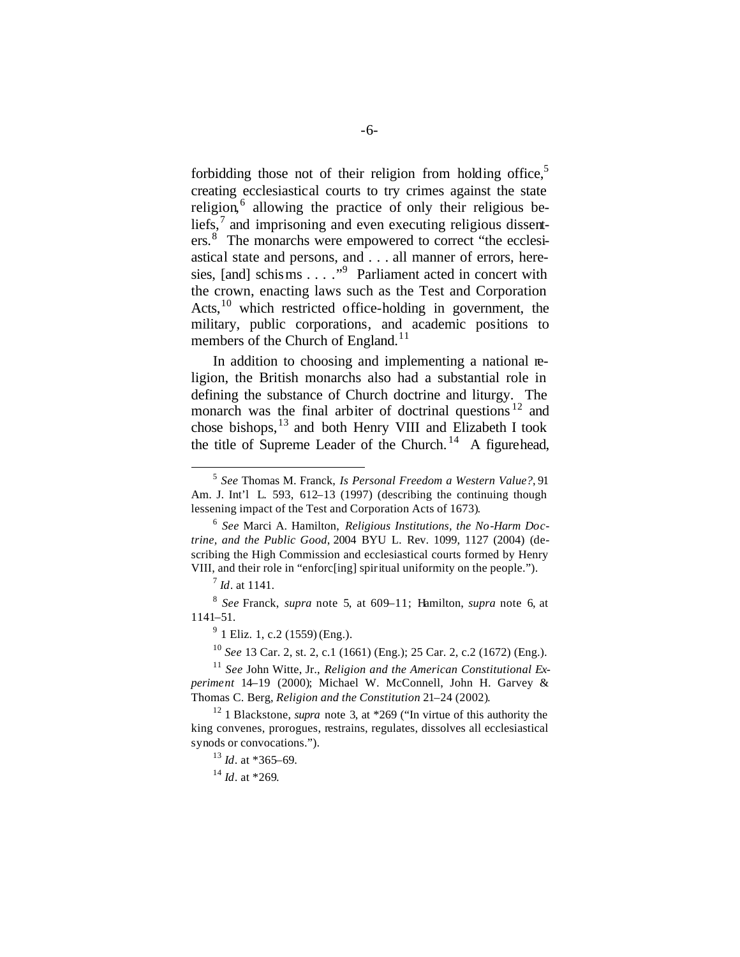forbidding those not of their religion from holding office,<sup>5</sup> creating ecclesiastical courts to try crimes against the state religion,<sup>6</sup> allowing the practice of only their religious beliefs, $\frac{7}{7}$  and imprisoning and even executing religious dissenters.<sup>8</sup> The monarchs were empowered to correct "the ecclesiastical state and persons, and . . . all manner of errors, heresies, [and] schisms . . . . "<sup>9</sup> Parliament acted in concert with the crown, enacting laws such as the Test and Corporation Acts, $^{10}$  which restricted office-holding in government, the military, public corporations, and academic positions to members of the Church of England.<sup>11</sup>

In addition to choosing and implementing a national religion, the British monarchs also had a substantial role in defining the substance of Church doctrine and liturgy. The monarch was the final arbiter of doctrinal questions  $12$  and chose bishops,<sup>13</sup> and both Henry VIII and Elizabeth I took the title of Supreme Leader of the Church.<sup>14</sup> A figurehead,

 $\overline{a}$ 

<sup>14</sup> *Id*. at \*269.

<sup>5</sup> *See* Thomas M. Franck, *Is Personal Freedom a Western Value?*, 91 Am. J. Int'l L. 593, 612–13 (1997) (describing the continuing though lessening impact of the Test and Corporation Acts of 1673).

<sup>6</sup> *See* Marci A. Hamilton, *Religious Institutions, the No-Harm Doctrine, and the Public Good*, 2004 BYU L. Rev. 1099, 1127 (2004) (describing the High Commission and ecclesiastical courts formed by Henry VIII, and their role in "enforc[ing] spiritual uniformity on the people.").

<sup>7</sup> *Id*. at 1141.

<sup>8</sup> *See* Franck, *supra* note 5, at 609–11; Hamilton, *supra* note 6, at 1141–51.

 $9<sup>9</sup>$  1 Eliz. 1, c.2 (1559) (Eng.).

<sup>10</sup> *See* 13 Car. 2, st. 2, c.1 (1661) (Eng.); 25 Car. 2, c.2 (1672) (Eng.).

<sup>11</sup> *See* John Witte, Jr., *Religion and the American Constitutional Experiment* 14–19 (2000); Michael W. McConnell, John H. Garvey & Thomas C. Berg, *Religion and the Constitution* 21–24 (2002).

<sup>&</sup>lt;sup>12</sup> 1 Blackstone, *supra* note 3, at \*269 ("In virtue of this authority the king convenes, prorogues, restrains, regulates, dissolves all ecclesiastical synods or convocations.").

<sup>13</sup> *Id*. at \*365–69.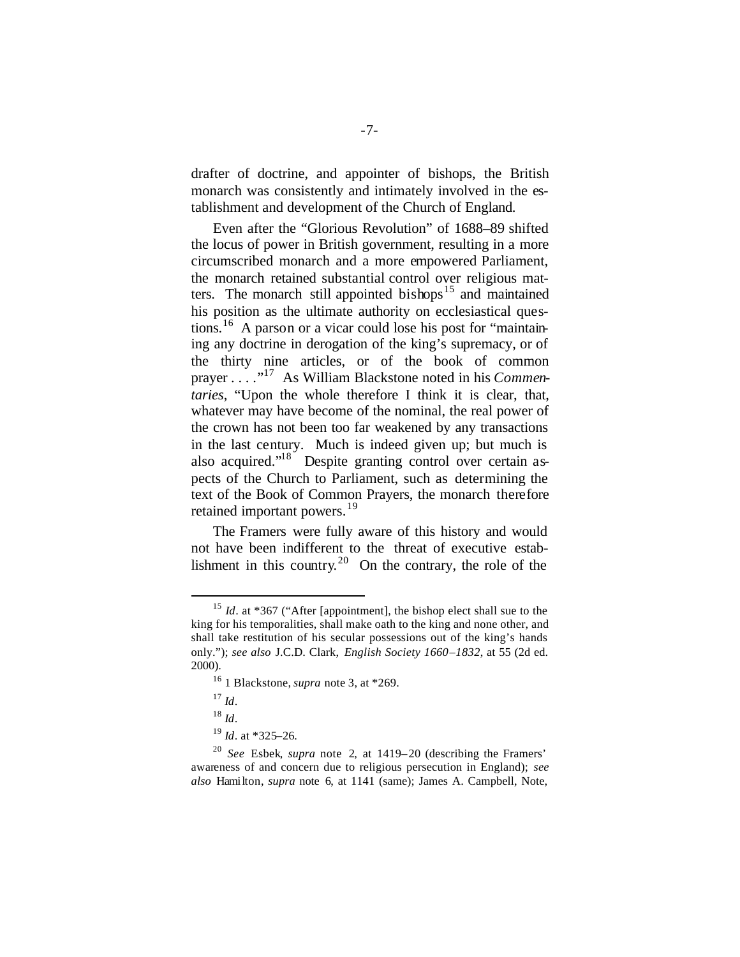drafter of doctrine, and appointer of bishops, the British monarch was consistently and intimately involved in the establishment and development of the Church of England.

Even after the "Glorious Revolution" of 1688–89 shifted the locus of power in British government, resulting in a more circumscribed monarch and a more empowered Parliament, the monarch retained substantial control over religious matters. The monarch still appointed bishops<sup>15</sup> and maintained his position as the ultimate authority on ecclesiastical questions.<sup>16</sup> A parson or a vicar could lose his post for "maintaining any doctrine in derogation of the king's supremacy, or of the thirty nine articles, or of the book of common prayer . . . ."<sup>17</sup> As William Blackstone noted in his *Commentaries*, "Upon the whole therefore I think it is clear, that, whatever may have become of the nominal, the real power of the crown has not been too far weakened by any transactions in the last century. Much is indeed given up; but much is also acquired."<sup>18</sup> Despite granting control over certain aspects of the Church to Parliament, such as determining the text of the Book of Common Prayers, the monarch therefore retained important powers.<sup>19</sup>

The Framers were fully aware of this history and would not have been indifferent to the threat of executive establishment in this country.<sup>20</sup> On the contrary, the role of the

 $\overline{a}$ 

<sup>18</sup> *Id*.

<sup>&</sup>lt;sup>15</sup> *Id.* at \*367 ("After [appointment], the bishop elect shall sue to the king for his temporalities, shall make oath to the king and none other, and shall take restitution of his secular possessions out of the king's hands only."); *see also* J.C.D. Clark, *English Society 1660–1832*, at 55 (2d ed. 2000).

<sup>16</sup> 1 Blackstone, *supra* note 3, at \*269.

 $17$  *Id*.

<sup>19</sup> *Id*. at \*325–26.

<sup>20</sup> *See* Esbek, *supra* note 2, at 1419–20 (describing the Framers' awareness of and concern due to religious persecution in England); *see also* Hamilton, *supra* note 6, at 1141 (same); James A. Campbell, Note,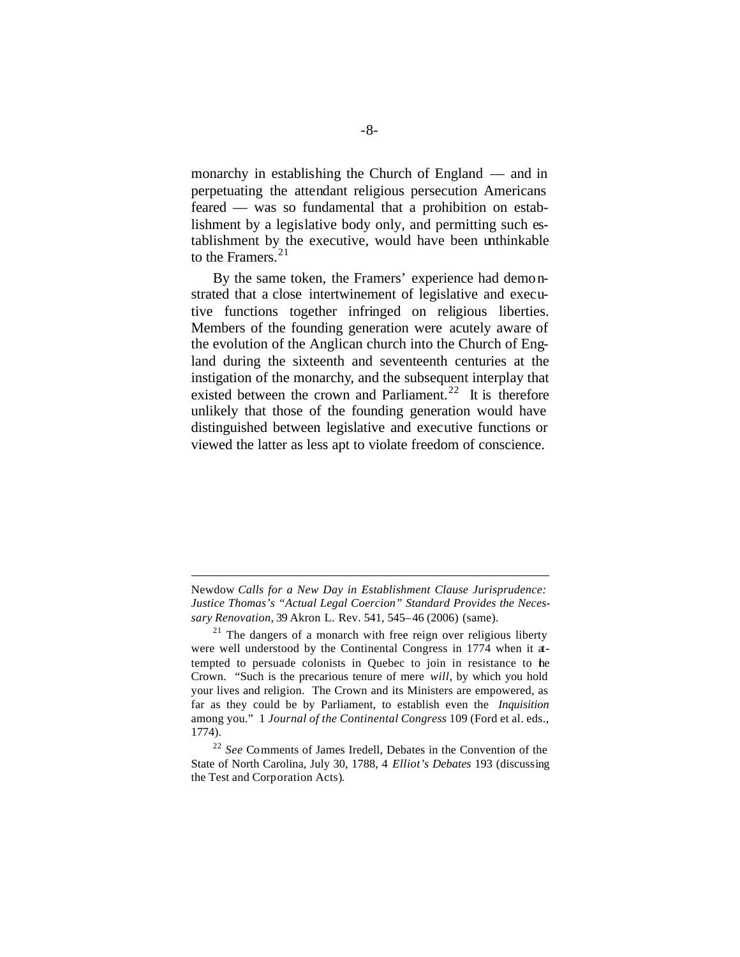monarchy in establishing the Church of England — and in perpetuating the attendant religious persecution Americans feared — was so fundamental that a prohibition on establishment by a legislative body only, and permitting such establishment by the executive, would have been unthinkable to the Framers. $21$ 

By the same token, the Framers' experience had demonstrated that a close intertwinement of legislative and executive functions together infringed on religious liberties. Members of the founding generation were acutely aware of the evolution of the Anglican church into the Church of England during the sixteenth and seventeenth centuries at the instigation of the monarchy, and the subsequent interplay that existed between the crown and Parliament.<sup>22</sup> It is therefore unlikely that those of the founding generation would have distinguished between legislative and executive functions or viewed the latter as less apt to violate freedom of conscience.

Newdow *Calls for a New Day in Establishment Clause Jurisprudence: Justice Thomas's "Actual Legal Coercion" Standard Provides the Necessary Renovation*, 39 Akron L. Rev. 541, 545–46 (2006) (same).

 $21$  The dangers of a monarch with free reign over religious liberty were well understood by the Continental Congress in 1774 when it attempted to persuade colonists in Quebec to join in resistance to the Crown. "Such is the precarious tenure of mere *will*, by which you hold your lives and religion. The Crown and its Ministers are empowered, as far as they could be by Parliament, to establish even the *Inquisition* among you." 1 *Journal of the Continental Congress* 109 (Ford et al. eds., 1774).

<sup>22</sup> *See* Comments of James Iredell, Debates in the Convention of the State of North Carolina, July 30, 1788, 4 *Elliot's Debates* 193 (discussing the Test and Corporation Acts).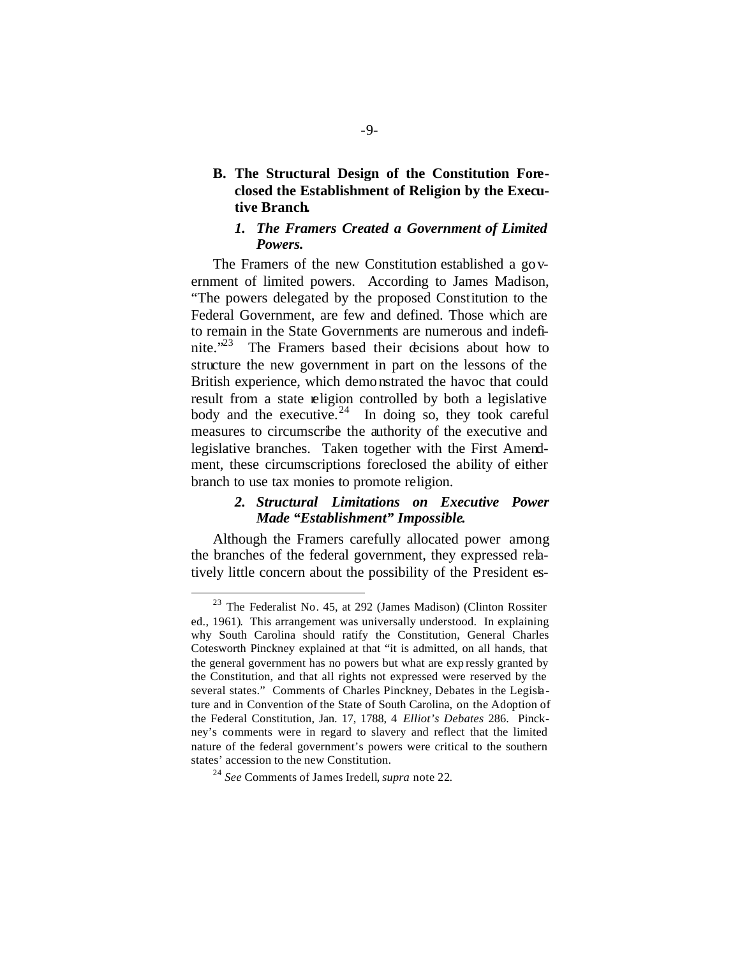### **B. The Structural Design of the Constitution Foreclosed the Establishment of Religion by the Executive Branch.**

#### *1. The Framers Created a Government of Limited Powers.*

The Framers of the new Constitution established a government of limited powers. According to James Madison, "The powers delegated by the proposed Constitution to the Federal Government, are few and defined. Those which are to remain in the State Governments are numerous and indefinite."<sup>23</sup> The Framers based their decisions about how to structure the new government in part on the lessons of the British experience, which demonstrated the havoc that could result from a state religion controlled by both a legislative body and the executive.  $24$  In doing so, they took careful measures to circumscribe the authority of the executive and legislative branches. Taken together with the First Amendment, these circumscriptions foreclosed the ability of either branch to use tax monies to promote religion.

#### *2. Structural Limitations on Executive Power Made "Establishment" Impossible.*

Although the Framers carefully allocated power among the branches of the federal government, they expressed relatively little concern about the possibility of the President es-

<sup>23</sup> The Federalist No. 45, at 292 (James Madison) (Clinton Rossiter ed., 1961). This arrangement was universally understood. In explaining why South Carolina should ratify the Constitution, General Charles Cotesworth Pinckney explained at that "it is admitted, on all hands, that the general government has no powers but what are exp ressly granted by the Constitution, and that all rights not expressed were reserved by the several states." Comments of Charles Pinckney, Debates in the Legislature and in Convention of the State of South Carolina, on the Adoption of the Federal Constitution, Jan. 17, 1788, 4 *Elliot's Debates* 286. Pinckney's comments were in regard to slavery and reflect that the limited nature of the federal government's powers were critical to the southern states' accession to the new Constitution.

<sup>24</sup> *See* Comments of James Iredell, *supra* note 22.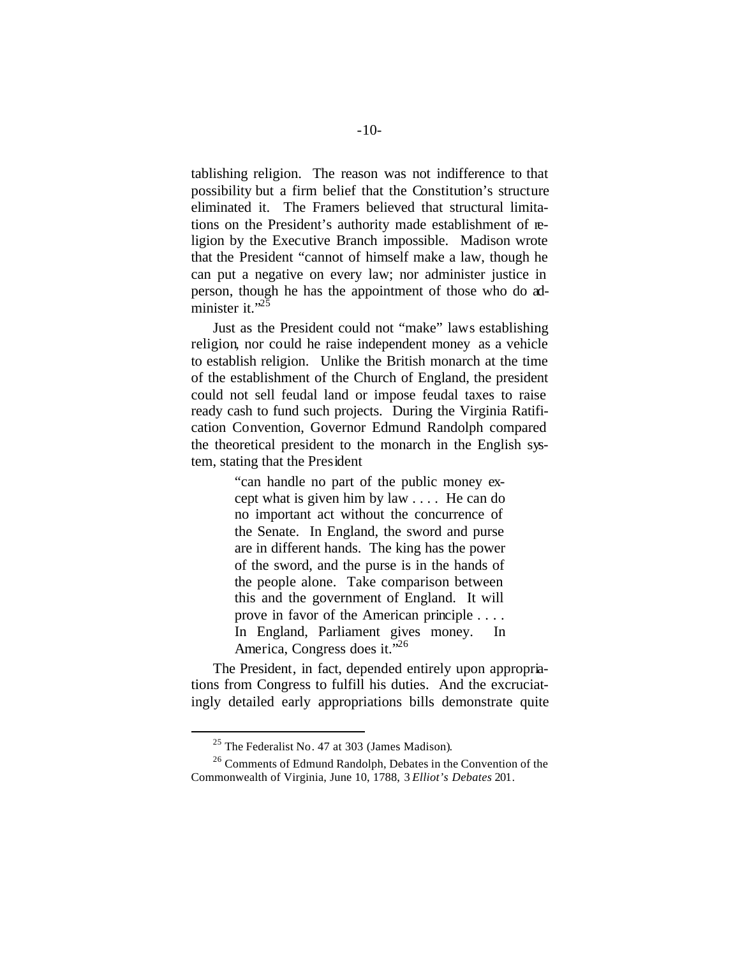tablishing religion. The reason was not indifference to that possibility but a firm belief that the Constitution's structure eliminated it. The Framers believed that structural limitations on the President's authority made establishment of religion by the Executive Branch impossible. Madison wrote that the President "cannot of himself make a law, though he can put a negative on every law; nor administer justice in person, though he has the appointment of those who do administer it." $^{25}$ 

Just as the President could not "make" laws establishing religion, nor could he raise independent money as a vehicle to establish religion. Unlike the British monarch at the time of the establishment of the Church of England, the president could not sell feudal land or impose feudal taxes to raise ready cash to fund such projects. During the Virginia Ratification Convention, Governor Edmund Randolph compared the theoretical president to the monarch in the English system, stating that the President

> "can handle no part of the public money except what is given him by law . . . . He can do no important act without the concurrence of the Senate. In England, the sword and purse are in different hands. The king has the power of the sword, and the purse is in the hands of the people alone. Take comparison between this and the government of England. It will prove in favor of the American principle . . . . In England, Parliament gives money. In America, Congress does it."<sup>26</sup>

The President, in fact, depended entirely upon appropriations from Congress to fulfill his duties. And the excruciatingly detailed early appropriations bills demonstrate quite

<sup>25</sup> The Federalist No. 47 at 303 (James Madison).

<sup>&</sup>lt;sup>26</sup> Comments of Edmund Randolph, Debates in the Convention of the Commonwealth of Virginia, June 10, 1788, 3 *Elliot's Debates* 201.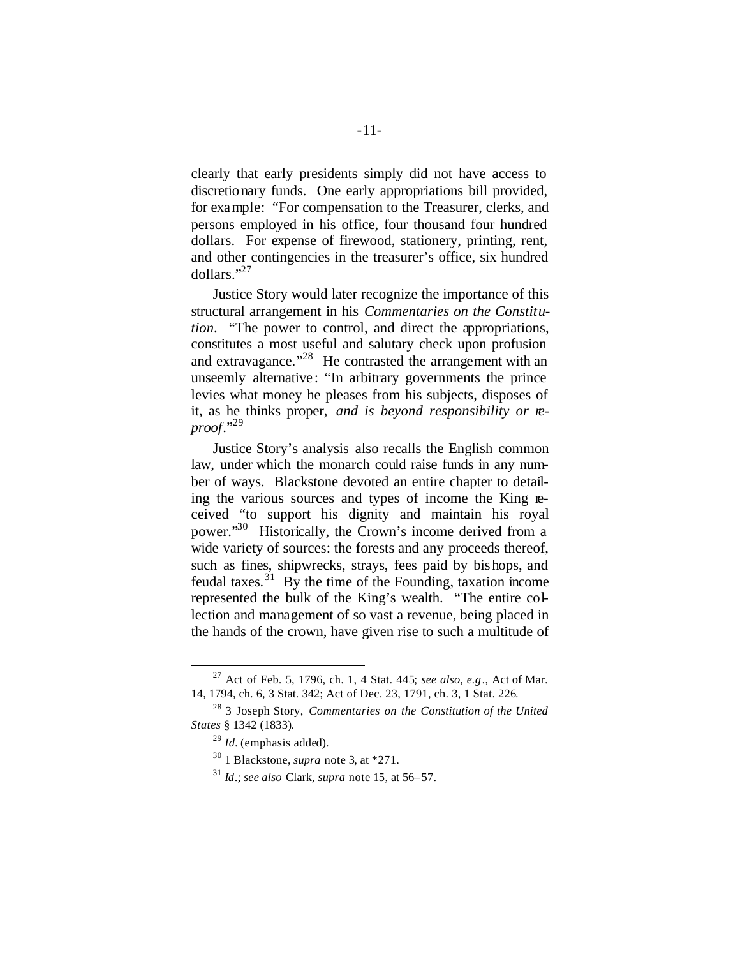clearly that early presidents simply did not have access to discretionary funds. One early appropriations bill provided, for example: "For compensation to the Treasurer, clerks, and persons employed in his office, four thousand four hundred dollars. For expense of firewood, stationery, printing, rent, and other contingencies in the treasurer's office, six hundred dollars."<sup>27</sup>

Justice Story would later recognize the importance of this structural arrangement in his *Commentaries on the Constitution*. "The power to control, and direct the appropriations, constitutes a most useful and salutary check upon profusion and extravagance."<sup>28</sup> He contrasted the arrangement with an unseemly alternative: "In arbitrary governments the prince levies what money he pleases from his subjects, disposes of it, as he thinks proper, *and is beyond responsibility or reproof*."<sup>29</sup>

Justice Story's analysis also recalls the English common law, under which the monarch could raise funds in any number of ways. Blackstone devoted an entire chapter to detailing the various sources and types of income the King received "to support his dignity and maintain his royal power."<sup>30</sup> Historically, the Crown's income derived from a wide variety of sources: the forests and any proceeds thereof, such as fines, shipwrecks, strays, fees paid by bishops, and feudal taxes.<sup>31</sup> By the time of the Founding, taxation income represented the bulk of the King's wealth. "The entire collection and management of so vast a revenue, being placed in the hands of the crown, have given rise to such a multitude of

<sup>27</sup> Act of Feb. 5, 1796, ch. 1, 4 Stat. 445; *see also, e.g*., Act of Mar. 14, 1794, ch. 6, 3 Stat. 342; Act of Dec. 23, 1791, ch. 3, 1 Stat. 226.

<sup>28</sup> 3 Joseph Story, *Commentaries on the Constitution of the United States* § 1342 (1833).

<sup>29</sup> *Id.* (emphasis added).

<sup>30</sup> 1 Blackstone, *supra* note 3, at \*271.

<sup>31</sup> *Id*.; *see also* Clark, *supra* note 15, at 56–57.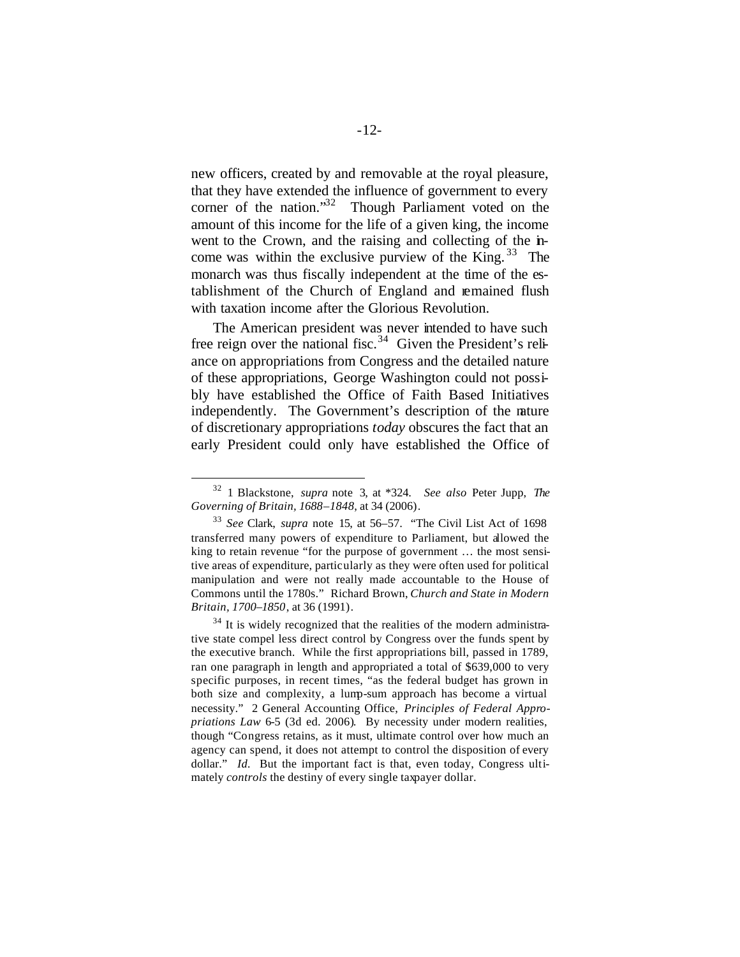new officers, created by and removable at the royal pleasure, that they have extended the influence of government to every corner of the nation."<sup>32</sup> Though Parliament voted on the amount of this income for the life of a given king, the income went to the Crown, and the raising and collecting of the income was within the exclusive purview of the King.  $33$  The monarch was thus fiscally independent at the time of the establishment of the Church of England and remained flush with taxation income after the Glorious Revolution.

The American president was never intended to have such free reign over the national fisc.<sup>34</sup> Given the President's reliance on appropriations from Congress and the detailed nature of these appropriations, George Washington could not possibly have established the Office of Faith Based Initiatives independently. The Government's description of the nature of discretionary appropriations *today* obscures the fact that an early President could only have established the Office of

<sup>32</sup> 1 Blackstone, *supra* note 3, at \*324. *See also* Peter Jupp, *The Governing of Britain, 1688–1848*, at 34 (2006).

<sup>33</sup> *See* Clark, *supra* note 15, at 56–57. "The Civil List Act of 1698 transferred many powers of expenditure to Parliament, but allowed the king to retain revenue "for the purpose of government … the most sensitive areas of expenditure, particularly as they were often used for political manipulation and were not really made accountable to the House of Commons until the 1780s." Richard Brown, *Church and State in Modern Britain, 1700–1850*, at 36 (1991).

 $34$  It is widely recognized that the realities of the modern administrative state compel less direct control by Congress over the funds spent by the executive branch. While the first appropriations bill, passed in 1789, ran one paragraph in length and appropriated a total of \$639,000 to very specific purposes, in recent times, "as the federal budget has grown in both size and complexity, a lump-sum approach has become a virtual necessity." 2 General Accounting Office, *Principles of Federal Appropriations Law* 6-5 (3d ed. 2006). By necessity under modern realities, though "Congress retains, as it must, ultimate control over how much an agency can spend, it does not attempt to control the disposition of every dollar." *Id.* But the important fact is that, even today, Congress ultimately *controls* the destiny of every single taxpayer dollar.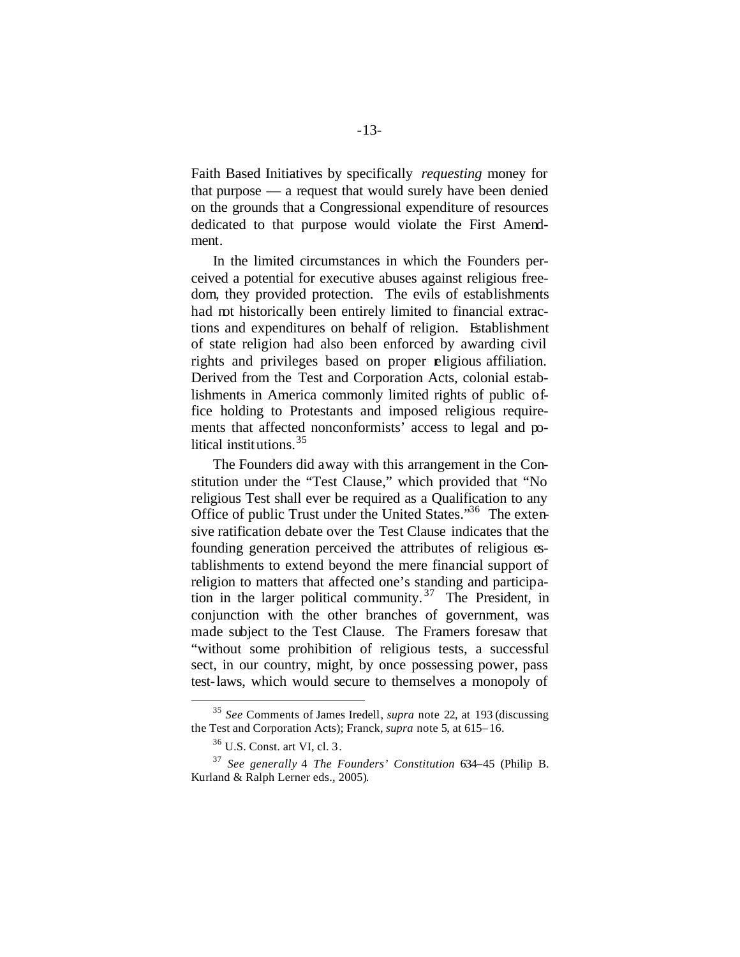Faith Based Initiatives by specifically *requesting* money for that purpose — a request that would surely have been denied on the grounds that a Congressional expenditure of resources dedicated to that purpose would violate the First Amendment.

In the limited circumstances in which the Founders perceived a potential for executive abuses against religious freedom, they provided protection. The evils of establishments had not historically been entirely limited to financial extractions and expenditures on behalf of religion. Establishment of state religion had also been enforced by awarding civil rights and privileges based on proper religious affiliation. Derived from the Test and Corporation Acts, colonial establishments in America commonly limited rights of public office holding to Protestants and imposed religious requirements that affected nonconformists' access to legal and political institutions.<sup>35</sup>

The Founders did away with this arrangement in the Constitution under the "Test Clause," which provided that "No religious Test shall ever be required as a Qualification to any Office of public Trust under the United States."<sup>36</sup> The extensive ratification debate over the Test Clause indicates that the founding generation perceived the attributes of religious establishments to extend beyond the mere financial support of religion to matters that affected one's standing and participation in the larger political community. <sup>37</sup> The President, in conjunction with the other branches of government, was made subject to the Test Clause. The Framers foresaw that "without some prohibition of religious tests, a successful sect, in our country, might, by once possessing power, pass test-laws, which would secure to themselves a monopoly of

<sup>35</sup> *See* Comments of James Iredell, *supra* note 22, at 193 (discussing the Test and Corporation Acts); Franck, *supra* note 5, at 615–16.

<sup>36</sup> U.S. Const. art VI, cl. 3.

<sup>37</sup> *See generally* 4 *The Founders' Constitution* 634–45 (Philip B. Kurland & Ralph Lerner eds., 2005).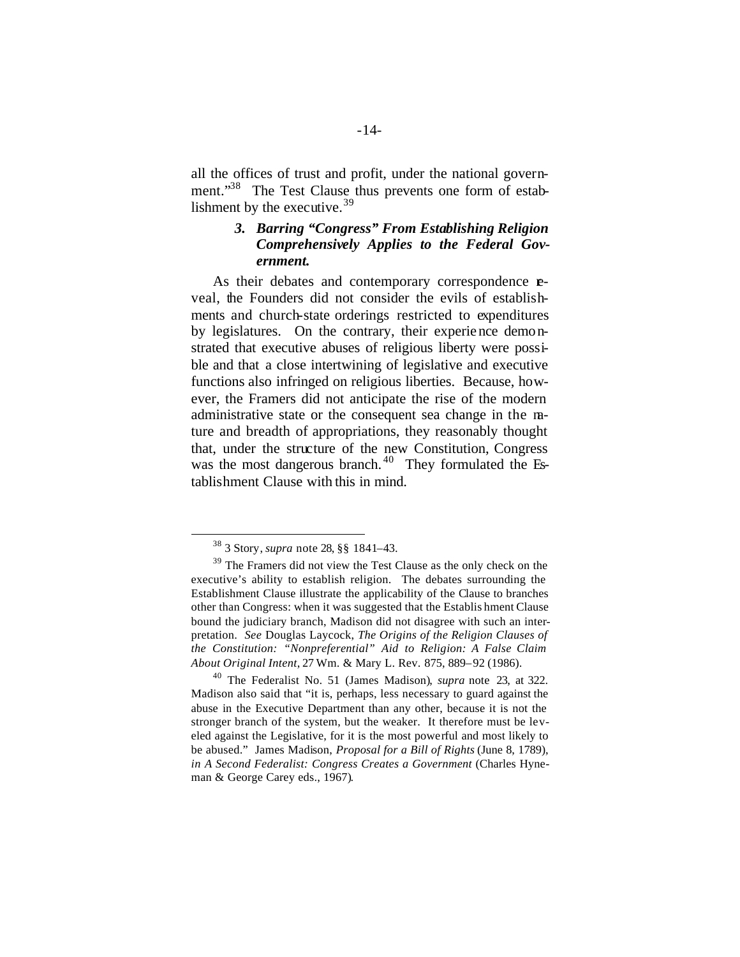all the offices of trust and profit, under the national government."<sup>38</sup> The Test Clause thus prevents one form of establishment by the executive.<sup>39</sup>

### *3. Barring "Congress" From Establishing Religion Comprehensively Applies to the Federal Government.*

As their debates and contemporary correspondence **e**veal, the Founders did not consider the evils of establishments and church-state orderings restricted to expenditures by legislatures. On the contrary, their experience demonstrated that executive abuses of religious liberty were possible and that a close intertwining of legislative and executive functions also infringed on religious liberties. Because, however, the Framers did not anticipate the rise of the modern administrative state or the consequent sea change in the nature and breadth of appropriations, they reasonably thought that, under the structure of the new Constitution, Congress was the most dangerous branch. $40$  They formulated the Establishment Clause with this in mind.

<sup>38</sup> 3 Story, *supra* note 28, §§ 1841–43.

<sup>&</sup>lt;sup>39</sup> The Framers did not view the Test Clause as the only check on the executive's ability to establish religion. The debates surrounding the Establishment Clause illustrate the applicability of the Clause to branches other than Congress: when it was suggested that the Establis hment Clause bound the judiciary branch, Madison did not disagree with such an interpretation. *See* Douglas Laycock, *The Origins of the Religion Clauses of the Constitution: "Nonpreferential" Aid to Religion: A False Claim About Original Intent*, 27 Wm. & Mary L. Rev. 875, 889–92 (1986).

<sup>40</sup> The Federalist No. 51 (James Madison), *supra* note 23, at 322. Madison also said that "it is, perhaps, less necessary to guard against the abuse in the Executive Department than any other, because it is not the stronger branch of the system, but the weaker. It therefore must be leveled against the Legislative, for it is the most powerful and most likely to be abused." James Madison, *Proposal for a Bill of Rights* (June 8, 1789), *in A Second Federalist: Congress Creates a Government* (Charles Hyneman & George Carey eds., 1967).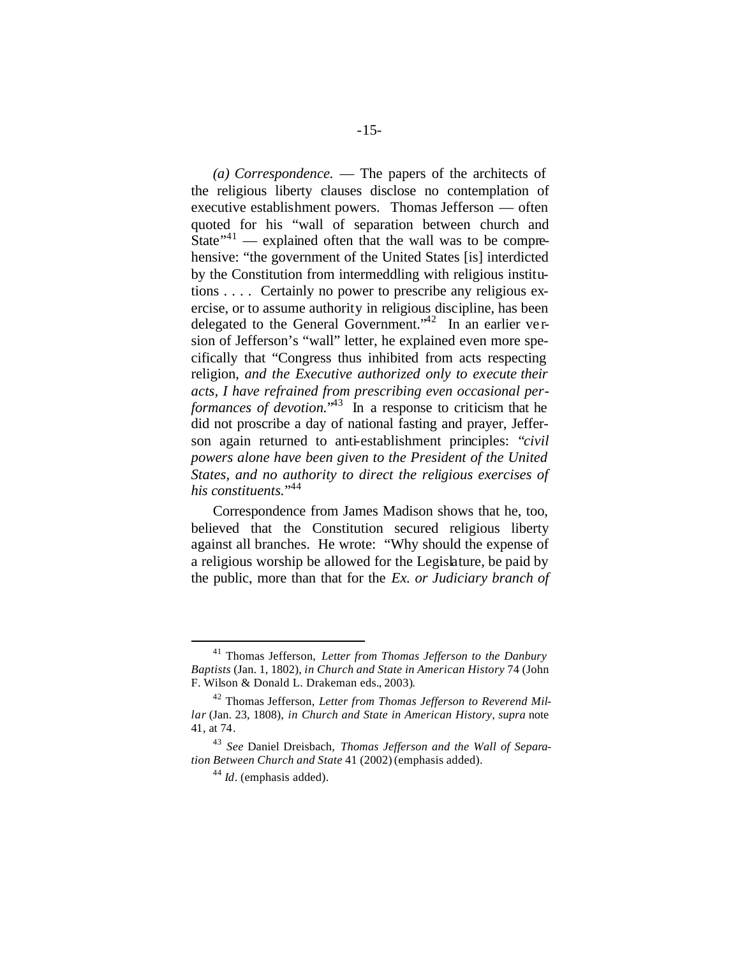*(a) Correspondence.* — The papers of the architects of the religious liberty clauses disclose no contemplation of executive establishment powers. Thomas Jefferson — often quoted for his "wall of separation between church and State<sup> $,41$ </sup> — explained often that the wall was to be comprehensive: "the government of the United States [is] interdicted by the Constitution from intermeddling with religious institutions . . . . Certainly no power to prescribe any religious exercise, or to assume authority in religious discipline, has been delegated to the General Government.<sup> $42$ </sup> In an earlier version of Jefferson's "wall" letter, he explained even more specifically that "Congress thus inhibited from acts respecting religion, *and the Executive authorized only to execute their acts, I have refrained from prescribing even occasional performances of devotion.*" <sup>43</sup> In a response to criticism that he did not proscribe a day of national fasting and prayer, Jefferson again returned to anti-establishment principles: "*civil powers alone have been given to the President of the United States, and no authority to direct the religious exercises of his constituents.*" 44

Correspondence from James Madison shows that he, too, believed that the Constitution secured religious liberty against all branches. He wrote: "Why should the expense of a religious worship be allowed for the Legislature, be paid by the public, more than that for the *Ex. or Judiciary branch of* 

<sup>41</sup> Thomas Jefferson, *Letter from Thomas Jefferson to the Danbury Baptists* (Jan. 1, 1802), *in Church and State in American History* 74 (John F. Wilson & Donald L. Drakeman eds., 2003).

<sup>42</sup> Thomas Jefferson, *Letter from Thomas Jefferson to Reverend Millar* (Jan. 23, 1808), *in Church and State in American History*, *supra* note 41, at 74.

<sup>43</sup> *See* Daniel Dreisbach, *Thomas Jefferson and the Wall of Separation Between Church and State* 41 (2002) (emphasis added).

<sup>44</sup> *Id*. (emphasis added).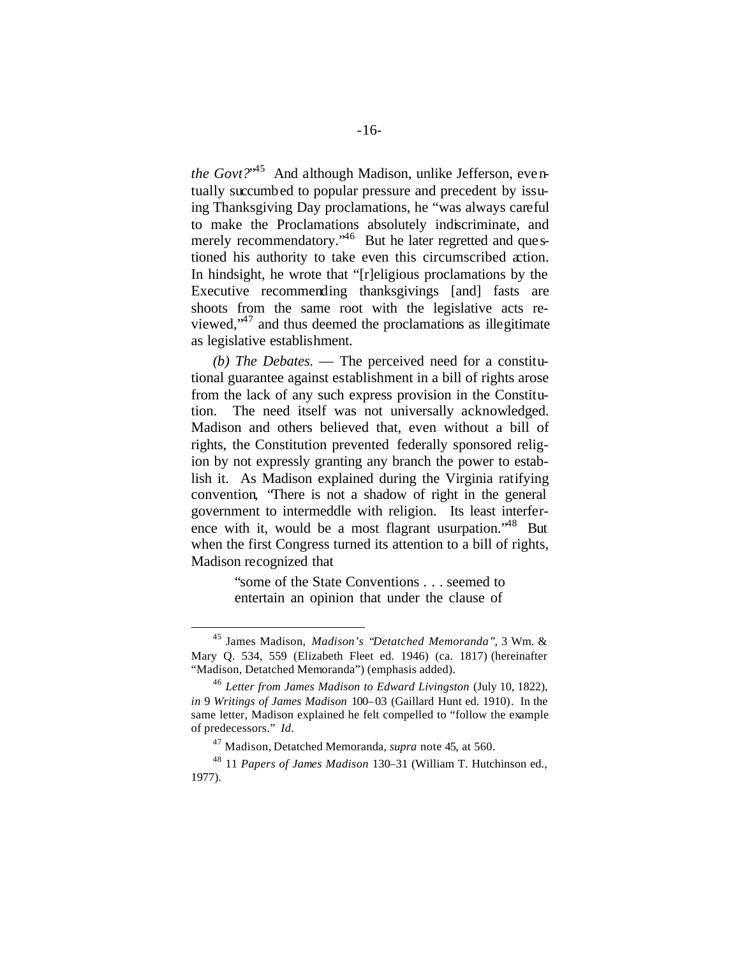*the Govt?*" <sup>45</sup> And although Madison, unlike Jefferson, eventually succumbed to popular pressure and precedent by issuing Thanksgiving Day proclamations, he "was always careful to make the Proclamations absolutely indiscriminate, and merely recommendatory.<sup>46</sup> But he later regretted and questioned his authority to take even this circumscribed action. In hindsight, he wrote that "[r]eligious proclamations by the Executive recommending thanksgivings [and] fasts are shoots from the same root with the legislative acts reviewed, $\cdot$ <sup>47</sup> and thus deemed the proclamations as illegitimate as legislative establishment.

*(b) The Debates.* — The perceived need for a constitutional guarantee against establishment in a bill of rights arose from the lack of any such express provision in the Constitution. The need itself was not universally acknowledged. Madison and others believed that, even without a bill of rights, the Constitution prevented federally sponsored religion by not expressly granting any branch the power to establish it. As Madison explained during the Virginia ratifying convention, "There is not a shadow of right in the general government to intermeddle with religion. Its least interference with it, would be a most flagrant usurpation.<sup> $48$ </sup> But when the first Congress turned its attention to a bill of rights, Madison recognized that

> "some of the State Conventions . . . seemed to entertain an opinion that under the clause of

<sup>45</sup> James Madison, *Madison's "Detatched Memoranda"*, 3 Wm. & Mary Q. 534, 559 (Elizabeth Fleet ed. 1946) (ca. 1817) (hereinafter "Madison, Detatched Memoranda") (emphasis added).

<sup>46</sup> *Letter from James Madison to Edward Livingston* (July 10, 1822), *in* 9 *Writings of James Madison* 100–03 (Gaillard Hunt ed. 1910). In the same letter, Madison explained he felt compelled to "follow the example of predecessors." *Id.*

<sup>47</sup> Madison, Detatched Memoranda, *supra* note 45, at 560.

<sup>48</sup> 11 *Papers of James Madison* 130–31 (William T. Hutchinson ed., 1977).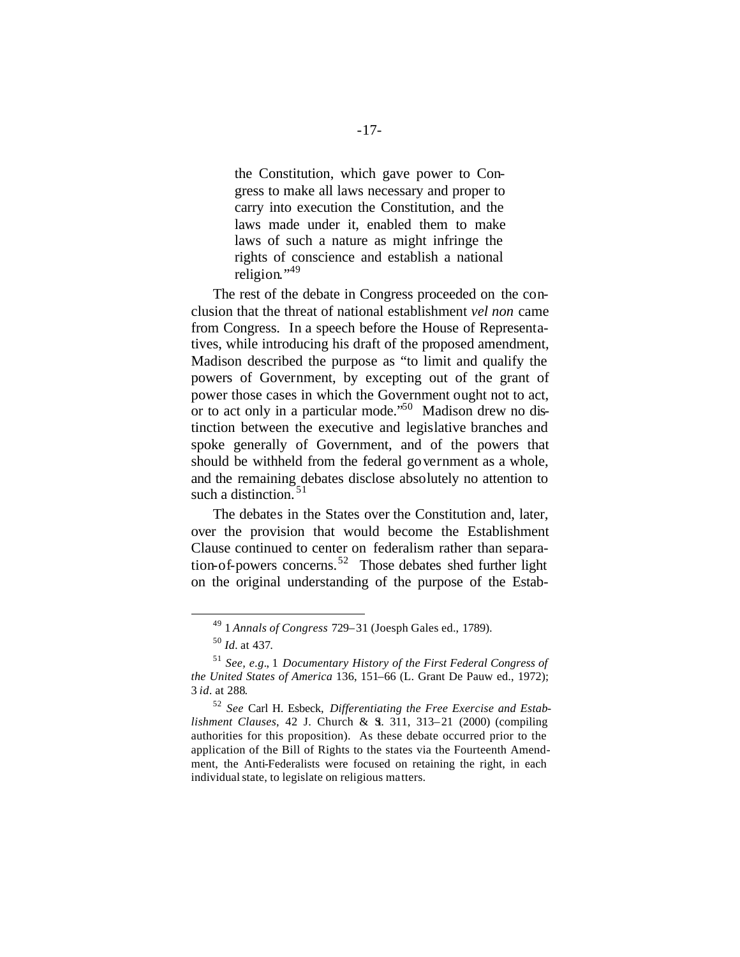the Constitution, which gave power to Congress to make all laws necessary and proper to carry into execution the Constitution, and the laws made under it, enabled them to make laws of such a nature as might infringe the rights of conscience and establish a national religion."<sup>49</sup>

The rest of the debate in Congress proceeded on the conclusion that the threat of national establishment *vel non* came from Congress. In a speech before the House of Representatives, while introducing his draft of the proposed amendment, Madison described the purpose as "to limit and qualify the powers of Government, by excepting out of the grant of power those cases in which the Government ought not to act, or to act only in a particular mode.<sup>50</sup> Madison drew no distinction between the executive and legislative branches and spoke generally of Government, and of the powers that should be withheld from the federal government as a whole, and the remaining debates disclose absolutely no attention to such a distinction.  $51$ 

The debates in the States over the Constitution and, later, over the provision that would become the Establishment Clause continued to center on federalism rather than separation-of-powers concerns. 52 Those debates shed further light on the original understanding of the purpose of the Estab-

<sup>49</sup> 1 *Annals of Congress* 729–31 (Joesph Gales ed., 1789).

<sup>50</sup> *Id.* at 437.

<sup>51</sup> *See, e.g.*, 1 *Documentary History of the First Federal Congress of the United States of America* 136, 151–66 (L. Grant De Pauw ed., 1972); 3 *id.* at 288.

<sup>52</sup> *See* Carl H. Esbeck, *Differentiating the Free Exercise and Establishment Clauses*, 42 J. Church & S. 311, 313-21 (2000) (compiling authorities for this proposition). As these debate occurred prior to the application of the Bill of Rights to the states via the Fourteenth Amendment, the Anti-Federalists were focused on retaining the right, in each individual state, to legislate on religious matters.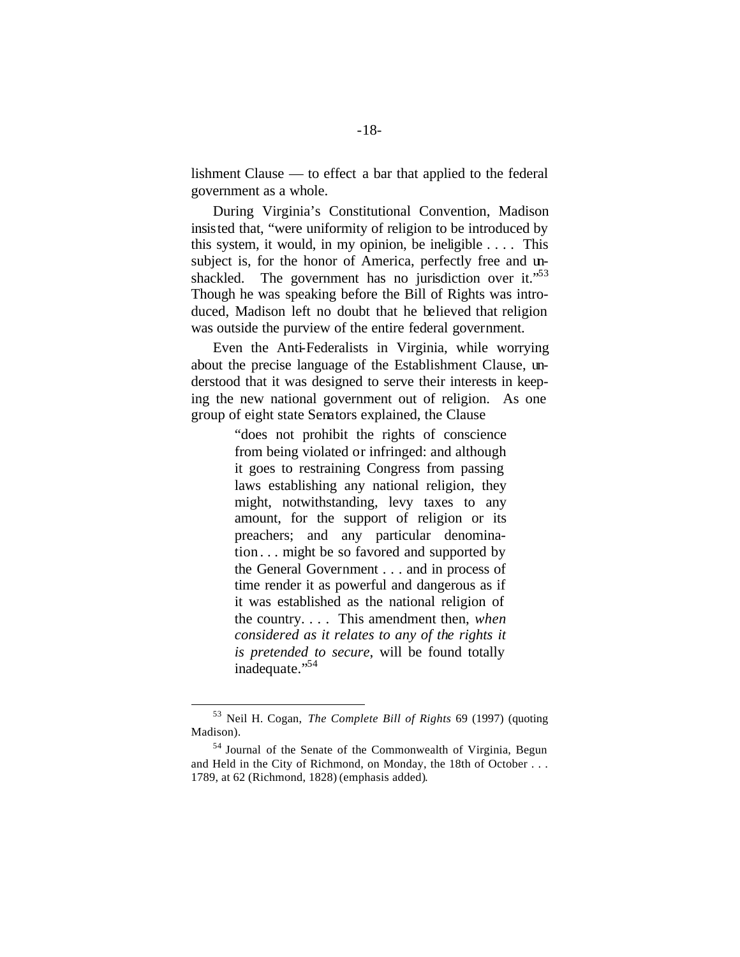lishment Clause — to effect a bar that applied to the federal government as a whole.

During Virginia's Constitutional Convention, Madison insisted that, "were uniformity of religion to be introduced by this system, it would, in my opinion, be ineligible  $\ldots$ . This subject is, for the honor of America, perfectly free and unshackled. The government has no jurisdiction over it." $53$ Though he was speaking before the Bill of Rights was introduced, Madison left no doubt that he believed that religion was outside the purview of the entire federal government.

Even the Anti-Federalists in Virginia, while worrying about the precise language of the Establishment Clause, understood that it was designed to serve their interests in keeping the new national government out of religion. As one group of eight state Senators explained, the Clause

> "does not prohibit the rights of conscience from being violated or infringed: and although it goes to restraining Congress from passing laws establishing any national religion, they might, notwithstanding, levy taxes to any amount, for the support of religion or its preachers; and any particular denomination . . . might be so favored and supported by the General Government . . . and in process of time render it as powerful and dangerous as if it was established as the national religion of the country. . . . This amendment then, *when considered as it relates to any of the rights it is pretended to secure*, will be found totally inadequate."<sup>54</sup>

<sup>53</sup> Neil H. Cogan, *The Complete Bill of Rights* 69 (1997) (quoting Madison).

<sup>54</sup> Journal of the Senate of the Commonwealth of Virginia, Begun and Held in the City of Richmond, on Monday, the 18th of October . . . 1789, at 62 (Richmond, 1828) (emphasis added).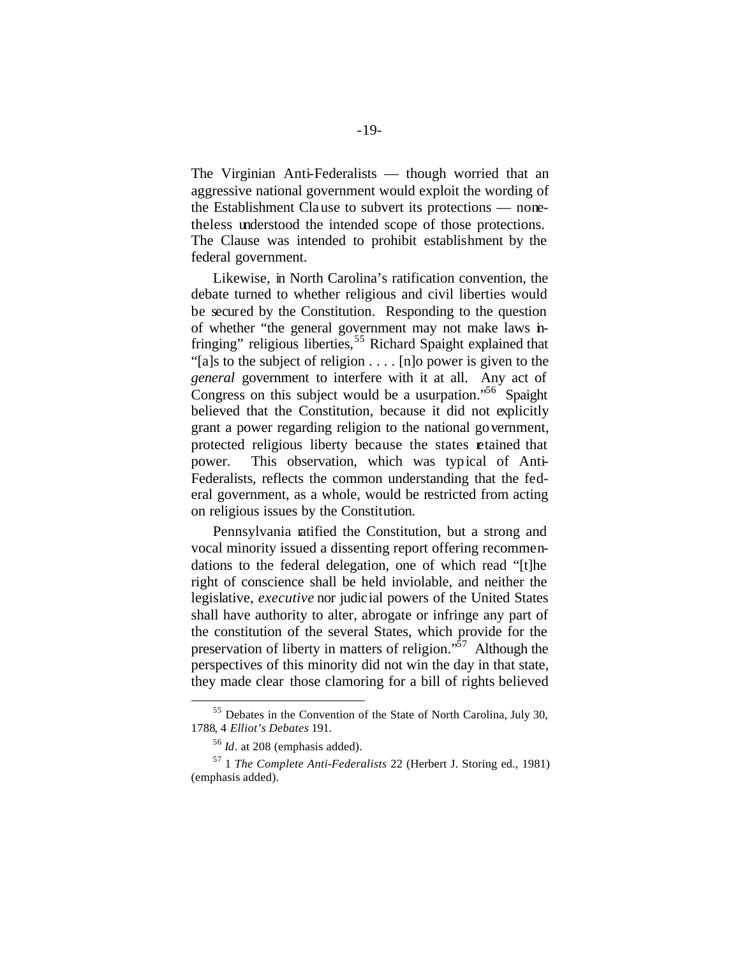The Virginian Anti-Federalists — though worried that an aggressive national government would exploit the wording of the Establishment Clause to subvert its protections — nonetheless understood the intended scope of those protections. The Clause was intended to prohibit establishment by the federal government.

Likewise, in North Carolina's ratification convention, the debate turned to whether religious and civil liberties would be secured by the Constitution. Responding to the question of whether "the general government may not make laws infringing" religious liberties,<sup>55</sup> Richard Spaight explained that "[a]s to the subject of religion . . . . [n]o power is given to the *general* government to interfere with it at all. Any act of Congress on this subject would be a usurpation.<sup>56</sup> Spaight believed that the Constitution, because it did not explicitly grant a power regarding religion to the national government, protected religious liberty because the states retained that power. This observation, which was typical of Anti-Federalists, reflects the common understanding that the federal government, as a whole, would be restricted from acting on religious issues by the Constitution.

Pennsylvania ratified the Constitution, but a strong and vocal minority issued a dissenting report offering recommendations to the federal delegation, one of which read "[t]he right of conscience shall be held inviolable, and neither the legislative, *executive* nor judicial powers of the United States shall have authority to alter, abrogate or infringe any part of the constitution of the several States, which provide for the preservation of liberty in matters of religion. $\cdot$ <sup>57</sup> Although the perspectives of this minority did not win the day in that state, they made clear those clamoring for a bill of rights believed

<sup>55</sup> Debates in the Convention of the State of North Carolina, July 30, 1788, 4 *Elliot's Debates* 191.

<sup>56</sup> *Id*. at 208 (emphasis added).

<sup>57</sup> 1 *The Complete Anti-Federalists* 22 (Herbert J. Storing ed., 1981) (emphasis added).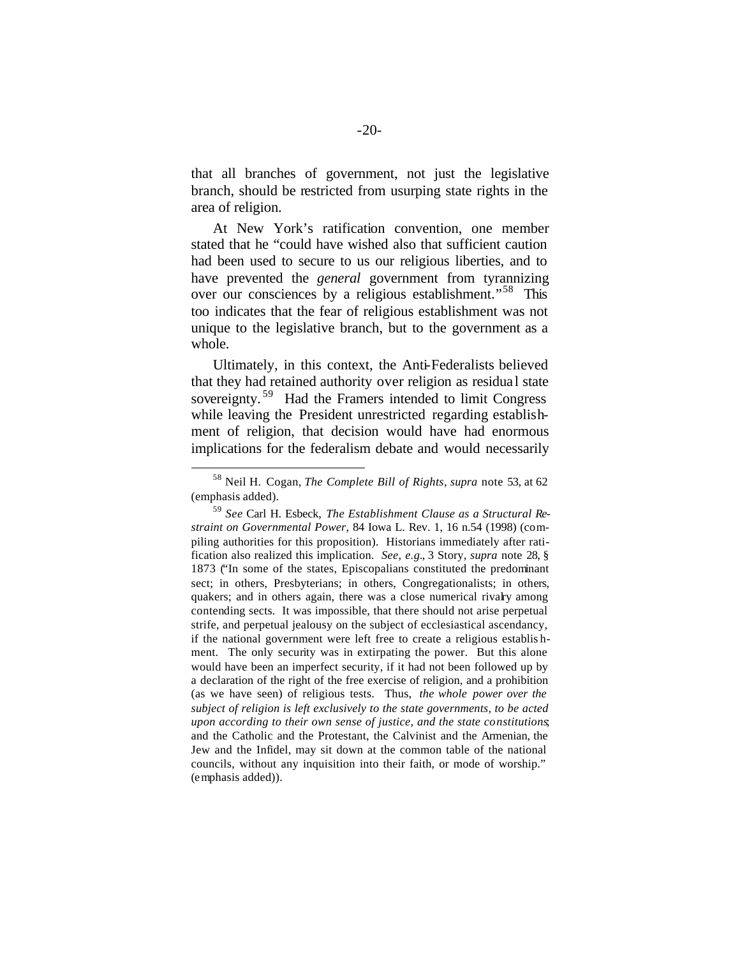that all branches of government, not just the legislative branch, should be restricted from usurping state rights in the area of religion.

At New York's ratification convention, one member stated that he "could have wished also that sufficient caution had been used to secure to us our religious liberties, and to have prevented the *general* government from tyrannizing over our consciences by a religious establishment."<sup>58</sup> This too indicates that the fear of religious establishment was not unique to the legislative branch, but to the government as a whole.

Ultimately, in this context, the Anti-Federalists believed that they had retained authority over religion as residua l state sovereignty.<sup>59</sup> Had the Framers intended to limit Congress while leaving the President unrestricted regarding establishment of religion, that decision would have had enormous implications for the federalism debate and would necessarily

<sup>58</sup> Neil H. Cogan, *The Complete Bill of Rights*, *supra* note 53, at 62 (emphasis added).

<sup>59</sup> *See* Carl H. Esbeck, *The Establishment Clause as a Structural Restraint on Governmental Power*, 84 Iowa L. Rev. 1, 16 n.54 (1998) (compiling authorities for this proposition). Historians immediately after ratification also realized this implication. *See, e.g.*, 3 Story, *supra* note 28, § 1873 ("In some of the states, Episcopalians constituted the predominant sect; in others, Presbyterians; in others, Congregationalists; in others, quakers; and in others again, there was a close numerical rivalry among contending sects. It was impossible, that there should not arise perpetual strife, and perpetual jealousy on the subject of ecclesiastical ascendancy, if the national government were left free to create a religious establis hment. The only security was in extirpating the power. But this alone would have been an imperfect security, if it had not been followed up by a declaration of the right of the free exercise of religion, and a prohibition (as we have seen) of religious tests. Thus, *the whole power over the subject of religion is left exclusively to the state governments, to be acted upon according to their own sense of justice, and the state constitutions*; and the Catholic and the Protestant, the Calvinist and the Armenian, the Jew and the Infidel, may sit down at the common table of the national councils, without any inquisition into their faith, or mode of worship." (emphasis added)).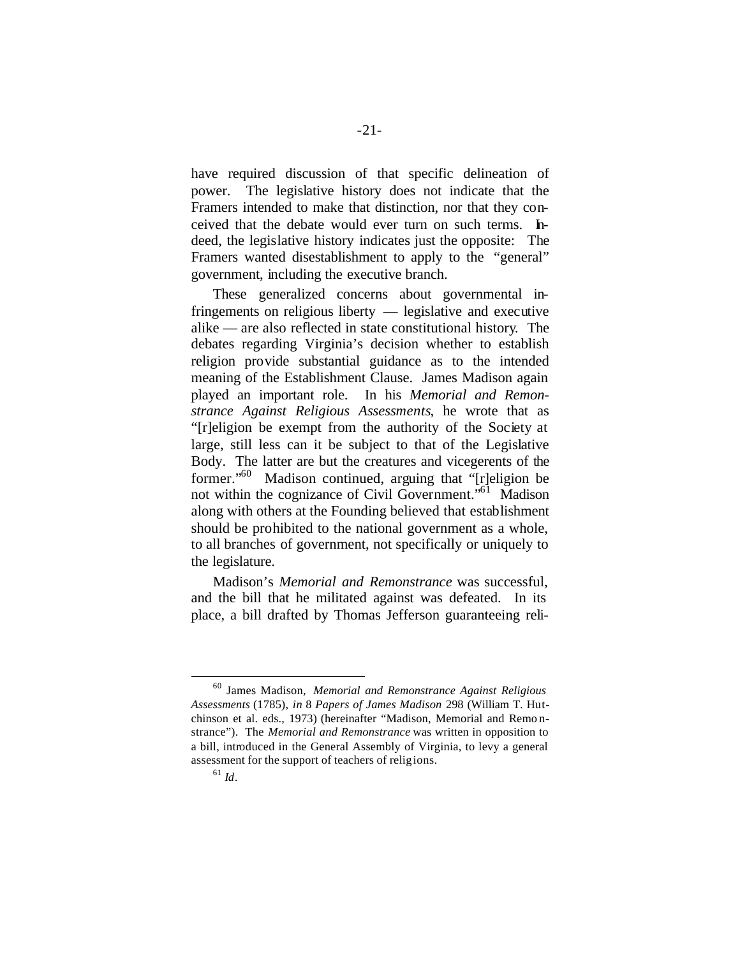have required discussion of that specific delineation of power. The legislative history does not indicate that the Framers intended to make that distinction, nor that they conceived that the debate would ever turn on such terms. Indeed, the legislative history indicates just the opposite: The Framers wanted disestablishment to apply to the "general" government, including the executive branch.

These generalized concerns about governmental infringements on religious liberty — legislative and executive alike — are also reflected in state constitutional history. The debates regarding Virginia's decision whether to establish religion provide substantial guidance as to the intended meaning of the Establishment Clause. James Madison again played an important role. In his *Memorial and Remonstrance Against Religious Assessments*, he wrote that as "[r]eligion be exempt from the authority of the Society at large, still less can it be subject to that of the Legislative Body. The latter are but the creatures and vicegerents of the former."<sup>60</sup> Madison continued, arguing that "[r]eligion be not within the cognizance of Civil Government."<sup>61</sup> Madison along with others at the Founding believed that establishment should be prohibited to the national government as a whole, to all branches of government, not specifically or uniquely to the legislature.

Madison's *Memorial and Remonstrance* was successful, and the bill that he militated against was defeated. In its place, a bill drafted by Thomas Jefferson guaranteeing reli-

<sup>60</sup> James Madison, *Memorial and Remonstrance Against Religious Assessments* (1785), *in* 8 *Papers of James Madison* 298 (William T. Hutchinson et al. eds., 1973) (hereinafter "Madison, Memorial and Remo nstrance"). The *Memorial and Remonstrance* was written in opposition to a bill, introduced in the General Assembly of Virginia, to levy a general assessment for the support of teachers of religions.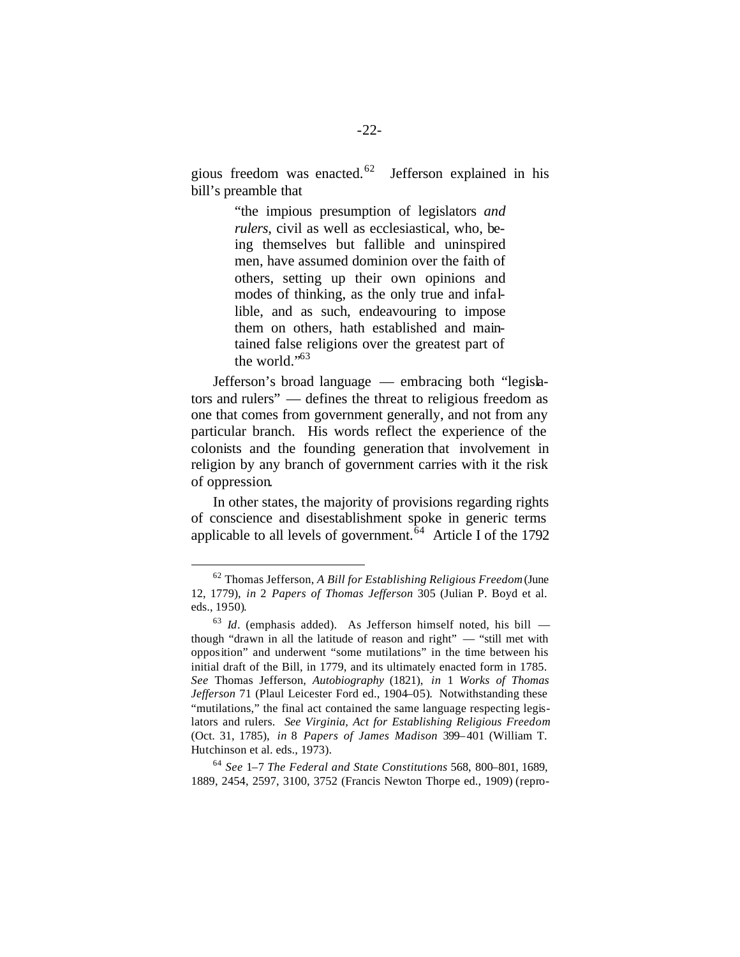gious freedom was enacted.<sup>62</sup> Jefferson explained in his bill's preamble that

> "the impious presumption of legislators *and rulers*, civil as well as ecclesiastical, who, being themselves but fallible and uninspired men, have assumed dominion over the faith of others, setting up their own opinions and modes of thinking, as the only true and infallible, and as such, endeavouring to impose them on others, hath established and maintained false religions over the greatest part of the world."<sup>63</sup>

Jefferson's broad language — embracing both "legislators and rulers" — defines the threat to religious freedom as one that comes from government generally, and not from any particular branch. His words reflect the experience of the colonists and the founding generation that involvement in religion by any branch of government carries with it the risk of oppression.

In other states, the majority of provisions regarding rights of conscience and disestablishment spoke in generic terms applicable to all levels of government.<sup>64</sup> Article I of the 1792

 $\overline{a}$ 

<sup>64</sup> *See* 1–7 *The Federal and State Constitutions* 568, 800–801, 1689, 1889, 2454, 2597, 3100, 3752 (Francis Newton Thorpe ed., 1909) (repro-

<sup>62</sup> Thomas Jefferson, *A Bill for Establishing Religious Freedom* (June 12, 1779), *in* 2 *Papers of Thomas Jefferson* 305 (Julian P. Boyd et al. eds., 1950).

<sup>63</sup> *Id*. (emphasis added). As Jefferson himself noted, his bill though "drawn in all the latitude of reason and right" — "still met with opposition" and underwent "some mutilations" in the time between his initial draft of the Bill, in 1779, and its ultimately enacted form in 1785. *See* Thomas Jefferson, *Autobiography* (1821), *in* 1 *Works of Thomas Jefferson* 71 (Plaul Leicester Ford ed., 1904–05). Notwithstanding these "mutilations," the final act contained the same language respecting legislators and rulers. *See Virginia, Act for Establishing Religious Freedom* (Oct. 31, 1785), *in* 8 *Papers of James Madison* 399–401 (William T. Hutchinson et al. eds., 1973).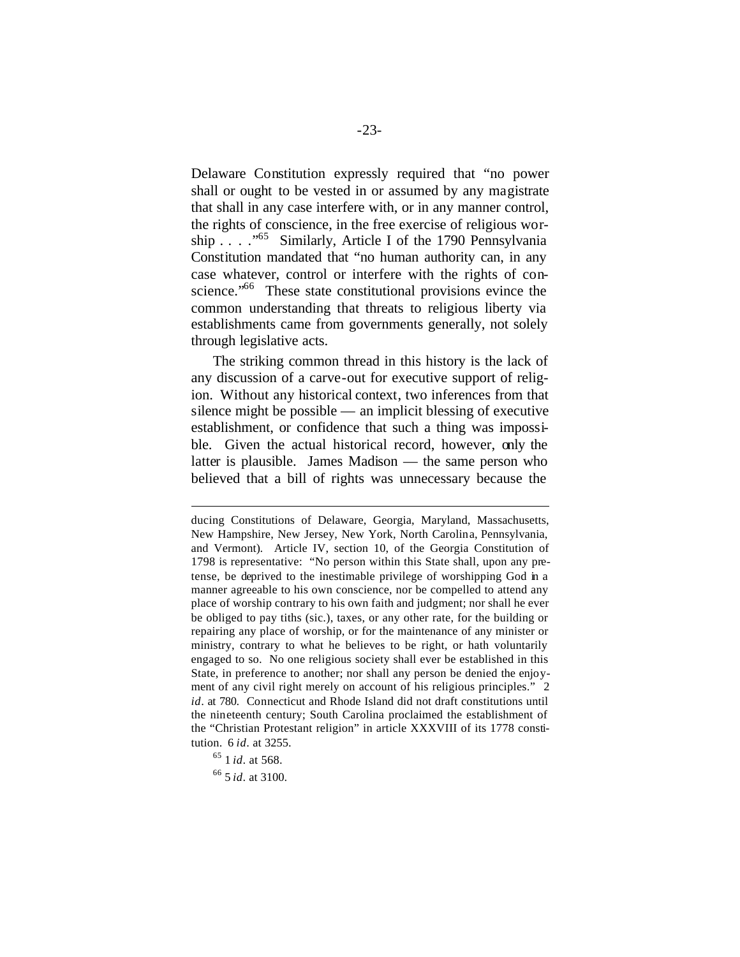Delaware Constitution expressly required that "no power shall or ought to be vested in or assumed by any magistrate that shall in any case interfere with, or in any manner control, the rights of conscience, in the free exercise of religious worship . . . ."<sup>65</sup> Similarly, Article I of the 1790 Pennsylvania Constitution mandated that "no human authority can, in any case whatever, control or interfere with the rights of conscience."<sup>66</sup> These state constitutional provisions evince the common understanding that threats to religious liberty via establishments came from governments generally, not solely through legislative acts.

The striking common thread in this history is the lack of any discussion of a carve-out for executive support of religion. Without any historical context, two inferences from that silence might be possible — an implicit blessing of executive establishment, or confidence that such a thing was impossible. Given the actual historical record, however, only the latter is plausible. James Madison — the same person who believed that a bill of rights was unnecessary because the

ducing Constitutions of Delaware, Georgia, Maryland, Massachusetts, New Hampshire, New Jersey, New York, North Carolina, Pennsylvania, and Vermont). Article IV, section 10, of the Georgia Constitution of 1798 is representative: "No person within this State shall, upon any pretense, be deprived to the inestimable privilege of worshipping God in a manner agreeable to his own conscience, nor be compelled to attend any place of worship contrary to his own faith and judgment; nor shall he ever be obliged to pay tiths (sic.), taxes, or any other rate, for the building or repairing any place of worship, or for the maintenance of any minister or ministry, contrary to what he believes to be right, or hath voluntarily engaged to so. No one religious society shall ever be established in this State, in preference to another; nor shall any person be denied the enjoyment of any civil right merely on account of his religious principles." 2 *id*. at 780. Connecticut and Rhode Island did not draft constitutions until the nineteenth century; South Carolina proclaimed the establishment of the "Christian Protestant religion" in article XXXVIII of its 1778 constitution. 6 *id*. at 3255.

<sup>65</sup> 1 *id*. at 568.

<sup>66</sup> 5 *id*. at 3100.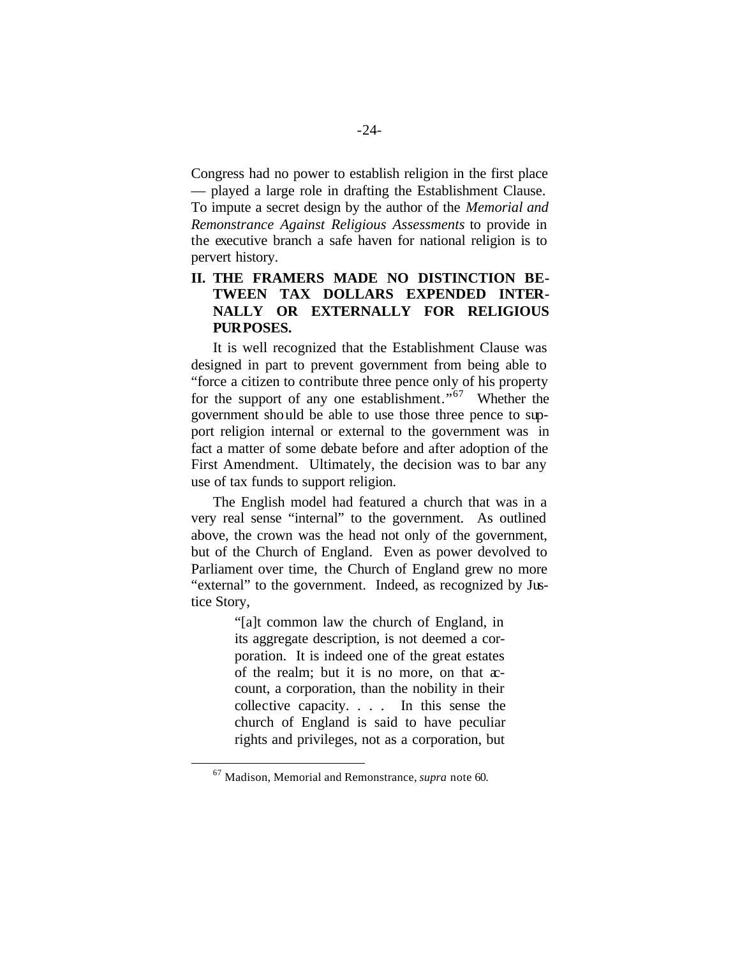Congress had no power to establish religion in the first place — played a large role in drafting the Establishment Clause.

To impute a secret design by the author of the *Memorial and Remonstrance Against Religious Assessments* to provide in the executive branch a safe haven for national religion is to pervert history.

### **II. THE FRAMERS MADE NO DISTINCTION BE-TWEEN TAX DOLLARS EXPENDED INTER-NALLY OR EXTERNALLY FOR RELIGIOUS PURPOSES.**

It is well recognized that the Establishment Clause was designed in part to prevent government from being able to "force a citizen to contribute three pence only of his property for the support of any one establishment."<sup>67</sup> Whether the government should be able to use those three pence to support religion internal or external to the government was in fact a matter of some debate before and after adoption of the First Amendment. Ultimately, the decision was to bar any use of tax funds to support religion.

The English model had featured a church that was in a very real sense "internal" to the government. As outlined above, the crown was the head not only of the government, but of the Church of England. Even as power devolved to Parliament over time, the Church of England grew no more "external" to the government. Indeed, as recognized by Justice Story,

> "[a]t common law the church of England, in its aggregate description, is not deemed a corporation. It is indeed one of the great estates of the realm; but it is no more, on that  $x$ count, a corporation, than the nobility in their collective capacity. . . . In this sense the church of England is said to have peculiar rights and privileges, not as a corporation, but

<sup>67</sup> Madison, Memorial and Remonstrance, *supra* note 60.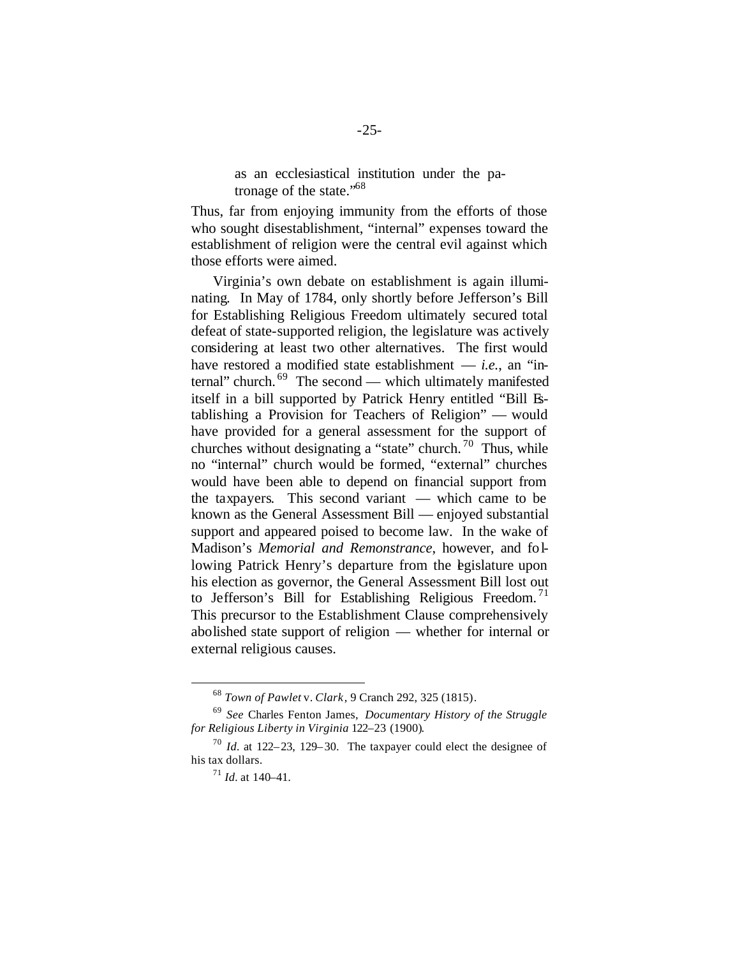as an ecclesiastical institution under the patronage of the state."<sup>68</sup>

Thus, far from enjoying immunity from the efforts of those who sought disestablishment, "internal" expenses toward the establishment of religion were the central evil against which those efforts were aimed.

Virginia's own debate on establishment is again illuminating. In May of 1784, only shortly before Jefferson's Bill for Establishing Religious Freedom ultimately secured total defeat of state-supported religion, the legislature was actively considering at least two other alternatives. The first would have restored a modified state establishment — *i.e.*, an "internal" church. <sup>69</sup> The second — which ultimately manifested itself in a bill supported by Patrick Henry entitled "Bill Establishing a Provision for Teachers of Religion" — would have provided for a general assessment for the support of churches without designating a "state" church. <sup>70</sup> Thus, while no "internal" church would be formed, "external" churches would have been able to depend on financial support from the taxpayers. This second variant — which came to be known as the General Assessment Bill — enjoyed substantial support and appeared poised to become law. In the wake of Madison's *Memorial and Remonstrance*, however, and following Patrick Henry's departure from the egislature upon his election as governor, the General Assessment Bill lost out to Jefferson's Bill for Establishing Religious Freedom.<sup>71</sup> This precursor to the Establishment Clause comprehensively abolished state support of religion — whether for internal or external religious causes.

<sup>68</sup> *Town of Pawlet* v. *Clark*, 9 Cranch 292, 325 (1815).

<sup>69</sup> *See* Charles Fenton James, *Documentary History of the Struggle for Religious Liberty in Virginia* 122–23 (1900).

<sup>70</sup> *Id.* at 122–23, 129–30. The taxpayer could elect the designee of his tax dollars.

<sup>71</sup> *Id.* at 140–41.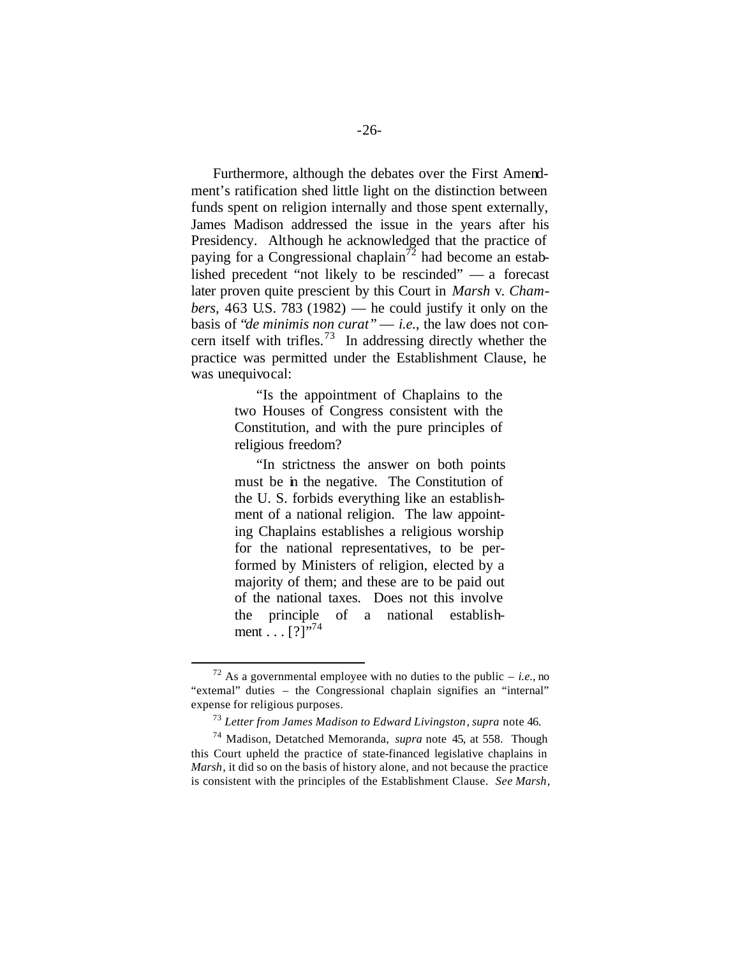Furthermore, although the debates over the First Amendment's ratification shed little light on the distinction between funds spent on religion internally and those spent externally, James Madison addressed the issue in the years after his Presidency. Although he acknowledged that the practice of paying for a Congressional chaplain<sup>72</sup> had become an established precedent "not likely to be rescinded" — a forecast later proven quite prescient by this Court in *Marsh* v. *Chambers*, 463 U.S. 783 (1982) — he could justify it only on the basis of "*de minimis non curat* " — *i.e.*, the law does not concern itself with trifles.<sup>73</sup> In addressing directly whether the practice was permitted under the Establishment Clause, he was unequivocal:

> "Is the appointment of Chaplains to the two Houses of Congress consistent with the Constitution, and with the pure principles of religious freedom?

> "In strictness the answer on both points must be in the negative. The Constitution of the U. S. forbids everything like an establishment of a national religion. The law appointing Chaplains establishes a religious worship for the national representatives, to be performed by Ministers of religion, elected by a majority of them; and these are to be paid out of the national taxes. Does not this involve the principle of a national establishment . . .  $[?]^{1,74}$

<sup>&</sup>lt;sup>72</sup> As a governmental employee with no duties to the public – *i.e.*, no "external" duties – the Congressional chaplain signifies an "internal" expense for religious purposes.

<sup>73</sup> *Letter from James Madison to Edward Livingston*, *supra* note 46.

<sup>74</sup> Madison, Detatched Memoranda, *supra* note 45, at 558. Though this Court upheld the practice of state-financed legislative chaplains in *Marsh*, it did so on the basis of history alone, and not because the practice is consistent with the principles of the Establishment Clause. *See Marsh*,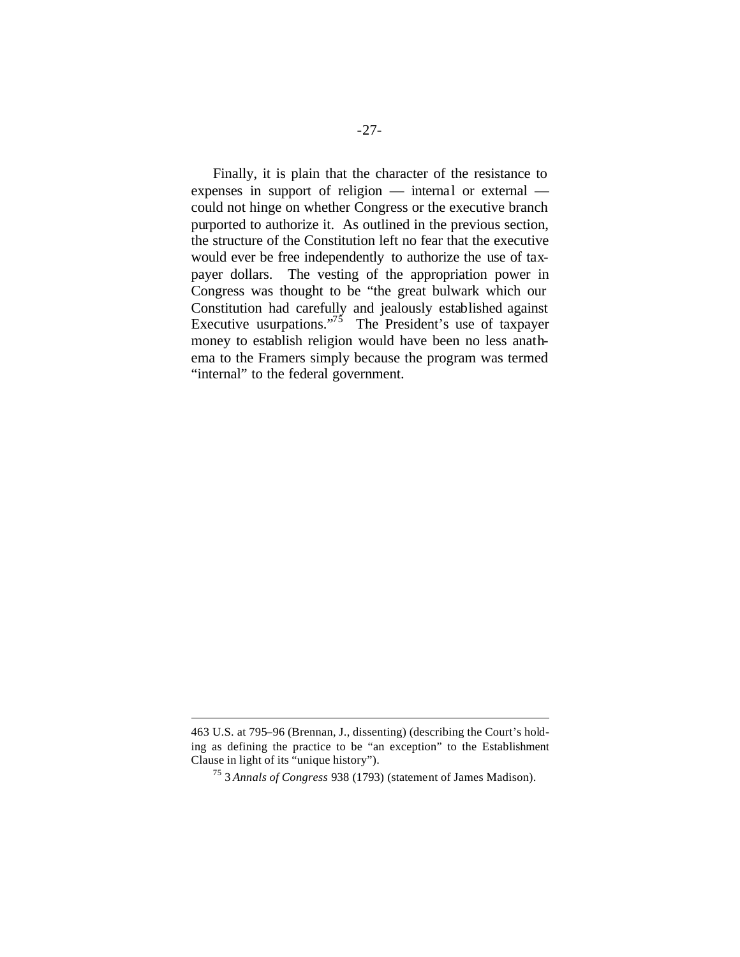Finally, it is plain that the character of the resistance to expenses in support of religion — internal or external could not hinge on whether Congress or the executive branch purported to authorize it. As outlined in the previous section, the structure of the Constitution left no fear that the executive would ever be free independently to authorize the use of taxpayer dollars. The vesting of the appropriation power in Congress was thought to be "the great bulwark which our Constitution had carefully and jealously established against Executive usurpations."<sup>75</sup> The President's use of taxpayer money to establish religion would have been no less anathema to the Framers simply because the program was termed "internal" to the federal government.

<sup>463</sup> U.S. at 795–96 (Brennan, J., dissenting) (describing the Court's holding as defining the practice to be "an exception" to the Establishment Clause in light of its "unique history").

<sup>75</sup> 3 *Annals of Congress* 938 (1793) (statement of James Madison).